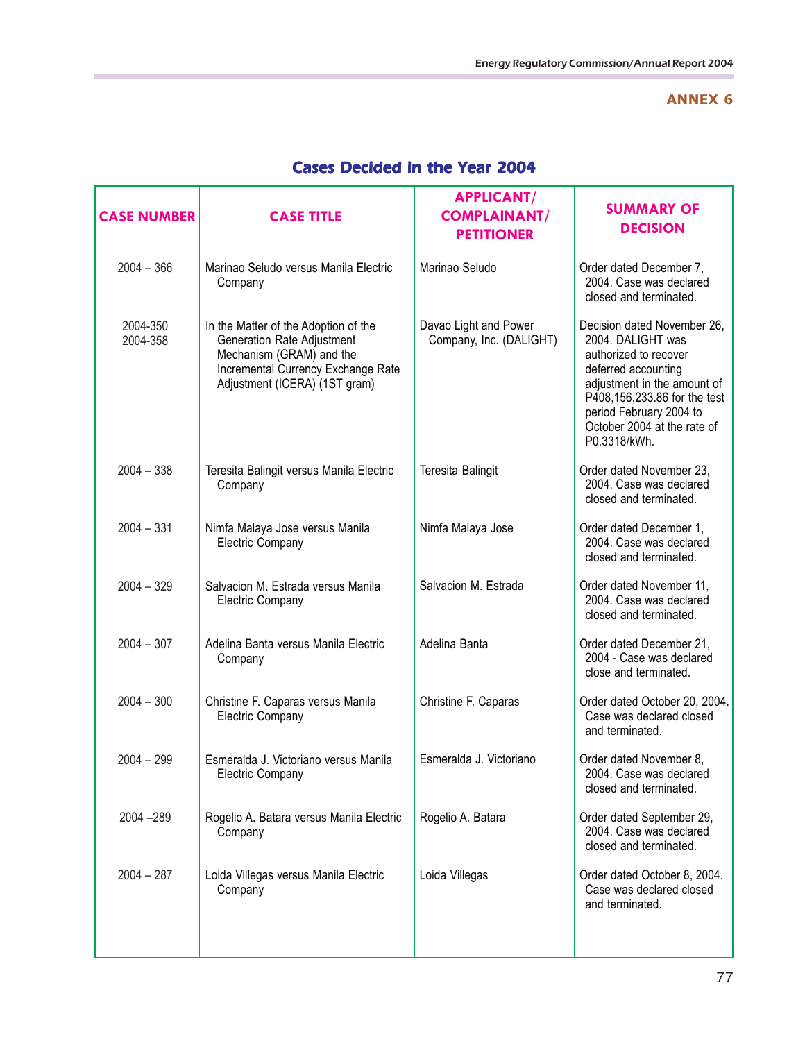## **ANNEX 6**

| <b>CASE NUMBER</b>   | <b>CASE TITLE</b>                                                                                                                                                     | <b>APPLICANT/</b><br><b>COMPLAINANT/</b><br><b>PETITIONER</b> | <b>SUMMARY OF</b><br><b>DECISION</b>                                                                                                                                                                                                      |
|----------------------|-----------------------------------------------------------------------------------------------------------------------------------------------------------------------|---------------------------------------------------------------|-------------------------------------------------------------------------------------------------------------------------------------------------------------------------------------------------------------------------------------------|
| $2004 - 366$         | Marinao Seludo versus Manila Electric<br>Company                                                                                                                      | Marinao Seludo                                                | Order dated December 7,<br>2004. Case was declared<br>closed and terminated.                                                                                                                                                              |
| 2004-350<br>2004-358 | In the Matter of the Adoption of the<br>Generation Rate Adjustment<br>Mechanism (GRAM) and the<br>Incremental Currency Exchange Rate<br>Adjustment (ICERA) (1ST gram) | Davao Light and Power<br>Company, Inc. (DALIGHT)              | Decision dated November 26,<br>2004. DALIGHT was<br>authorized to recover<br>deferred accounting<br>adjustment in the amount of<br>P408,156,233.86 for the test<br>period February 2004 to<br>October 2004 at the rate of<br>P0.3318/kWh. |
| $2004 - 338$         | Teresita Balingit versus Manila Electric<br>Company                                                                                                                   | Teresita Balingit                                             | Order dated November 23,<br>2004. Case was declared<br>closed and terminated.                                                                                                                                                             |
| $2004 - 331$         | Nimfa Malaya Jose versus Manila<br><b>Electric Company</b>                                                                                                            | Nimfa Malaya Jose                                             | Order dated December 1,<br>2004. Case was declared<br>closed and terminated.                                                                                                                                                              |
| $2004 - 329$         | Salvacion M. Estrada versus Manila<br><b>Electric Company</b>                                                                                                         | Salvacion M. Estrada                                          | Order dated November 11,<br>2004. Case was declared<br>closed and terminated.                                                                                                                                                             |
| $2004 - 307$         | Adelina Banta versus Manila Electric<br>Company                                                                                                                       | Adelina Banta                                                 | Order dated December 21,<br>2004 - Case was declared<br>close and terminated.                                                                                                                                                             |
| $2004 - 300$         | Christine F. Caparas versus Manila<br>Electric Company                                                                                                                | Christine F. Caparas                                          | Order dated October 20, 2004.<br>Case was declared closed<br>and terminated.                                                                                                                                                              |
| $2004 - 299$         | Esmeralda J. Victoriano versus Manila<br>Electric Company                                                                                                             | Esmeralda J. Victoriano                                       | Order dated November 8,<br>2004. Case was declared<br>closed and terminated.                                                                                                                                                              |
| 2004 - 289           | Rogelio A. Batara versus Manila Electric<br>Company                                                                                                                   | Rogelio A. Batara                                             | Order dated September 29,<br>2004. Case was declared<br>closed and terminated.                                                                                                                                                            |
| $2004 - 287$         | Loida Villegas versus Manila Electric<br>Company                                                                                                                      | Loida Villegas                                                | Order dated October 8, 2004.<br>Case was declared closed<br>and terminated.                                                                                                                                                               |

## Cases Decided in the Year 2004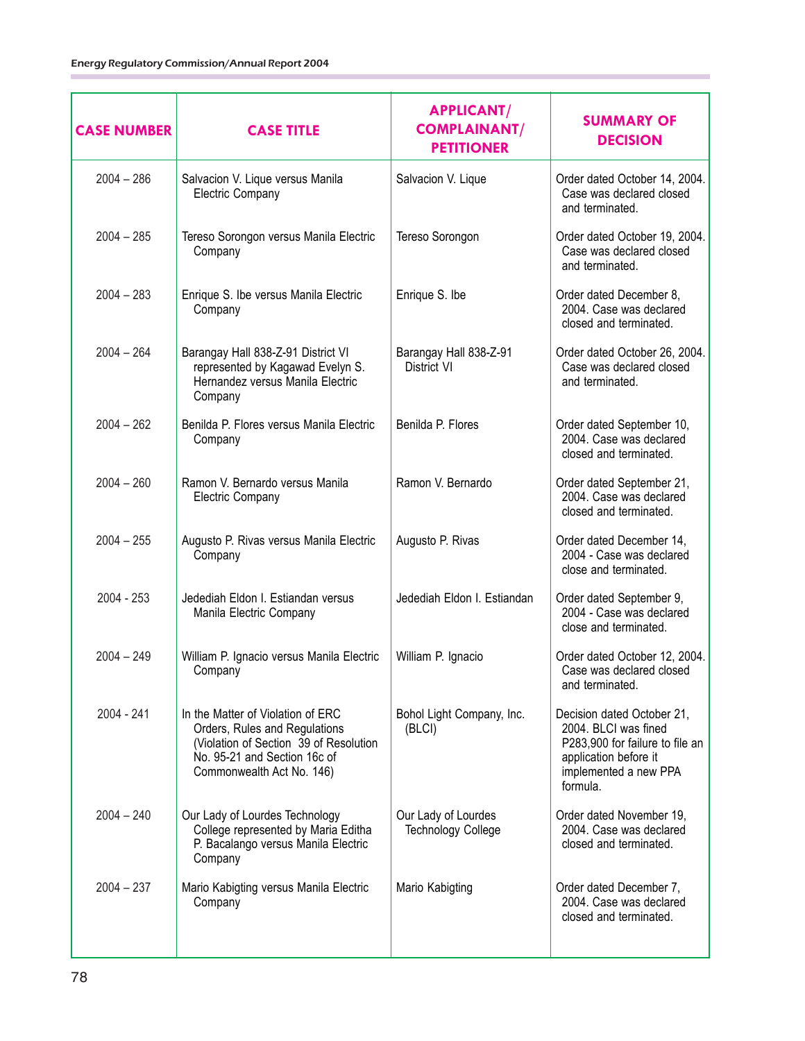| <b>CASE NUMBER</b> | <b>CASE TITLE</b>                                                                                                                                                         | <b>APPLICANT/</b><br><b>COMPLAINANT/</b><br><b>PETITIONER</b> | <b>SUMMARY OF</b><br><b>DECISION</b>                                                                                                                |
|--------------------|---------------------------------------------------------------------------------------------------------------------------------------------------------------------------|---------------------------------------------------------------|-----------------------------------------------------------------------------------------------------------------------------------------------------|
| $2004 - 286$       | Salvacion V. Lique versus Manila<br><b>Electric Company</b>                                                                                                               | Salvacion V. Lique                                            | Order dated October 14, 2004.<br>Case was declared closed<br>and terminated.                                                                        |
| $2004 - 285$       | Tereso Sorongon versus Manila Electric<br>Company                                                                                                                         | Tereso Sorongon                                               | Order dated October 19, 2004.<br>Case was declared closed<br>and terminated.                                                                        |
| $2004 - 283$       | Enrique S. Ibe versus Manila Electric<br>Company                                                                                                                          | Enrique S. Ibe                                                | Order dated December 8,<br>2004. Case was declared<br>closed and terminated.                                                                        |
| $2004 - 264$       | Barangay Hall 838-Z-91 District VI<br>represented by Kagawad Evelyn S.<br>Hernandez versus Manila Electric<br>Company                                                     | Barangay Hall 838-Z-91<br>District VI                         | Order dated October 26, 2004.<br>Case was declared closed<br>and terminated.                                                                        |
| $2004 - 262$       | Benilda P. Flores versus Manila Electric<br>Company                                                                                                                       | Benilda P. Flores                                             | Order dated September 10,<br>2004. Case was declared<br>closed and terminated.                                                                      |
| $2004 - 260$       | Ramon V. Bernardo versus Manila<br><b>Electric Company</b>                                                                                                                | Ramon V. Bernardo                                             | Order dated September 21,<br>2004. Case was declared<br>closed and terminated.                                                                      |
| $2004 - 255$       | Augusto P. Rivas versus Manila Electric<br>Company                                                                                                                        | Augusto P. Rivas                                              | Order dated December 14,<br>2004 - Case was declared<br>close and terminated.                                                                       |
| 2004 - 253         | Jedediah Eldon I. Estiandan versus<br>Manila Electric Company                                                                                                             | Jedediah Eldon I. Estiandan                                   | Order dated September 9,<br>2004 - Case was declared<br>close and terminated.                                                                       |
| $2004 - 249$       | William P. Ignacio versus Manila Electric<br>Company                                                                                                                      | William P. Ignacio                                            | Order dated October 12, 2004.<br>Case was declared closed<br>and terminated.                                                                        |
| $2004 - 241$       | In the Matter of Violation of ERC<br>Orders, Rules and Regulations<br>(Violation of Section 39 of Resolution<br>No. 95-21 and Section 16c of<br>Commonwealth Act No. 146) | Bohol Light Company, Inc.<br>(BLCI)                           | Decision dated October 21,<br>2004. BLCI was fined<br>P283,900 for failure to file an<br>application before it<br>implemented a new PPA<br>formula. |
| $2004 - 240$       | Our Lady of Lourdes Technology<br>College represented by Maria Editha<br>P. Bacalango versus Manila Electric<br>Company                                                   | Our Lady of Lourdes<br><b>Technology College</b>              | Order dated November 19,<br>2004. Case was declared<br>closed and terminated.                                                                       |
| $2004 - 237$       | Mario Kabigting versus Manila Electric<br>Company                                                                                                                         | Mario Kabigting                                               | Order dated December 7,<br>2004. Case was declared<br>closed and terminated.                                                                        |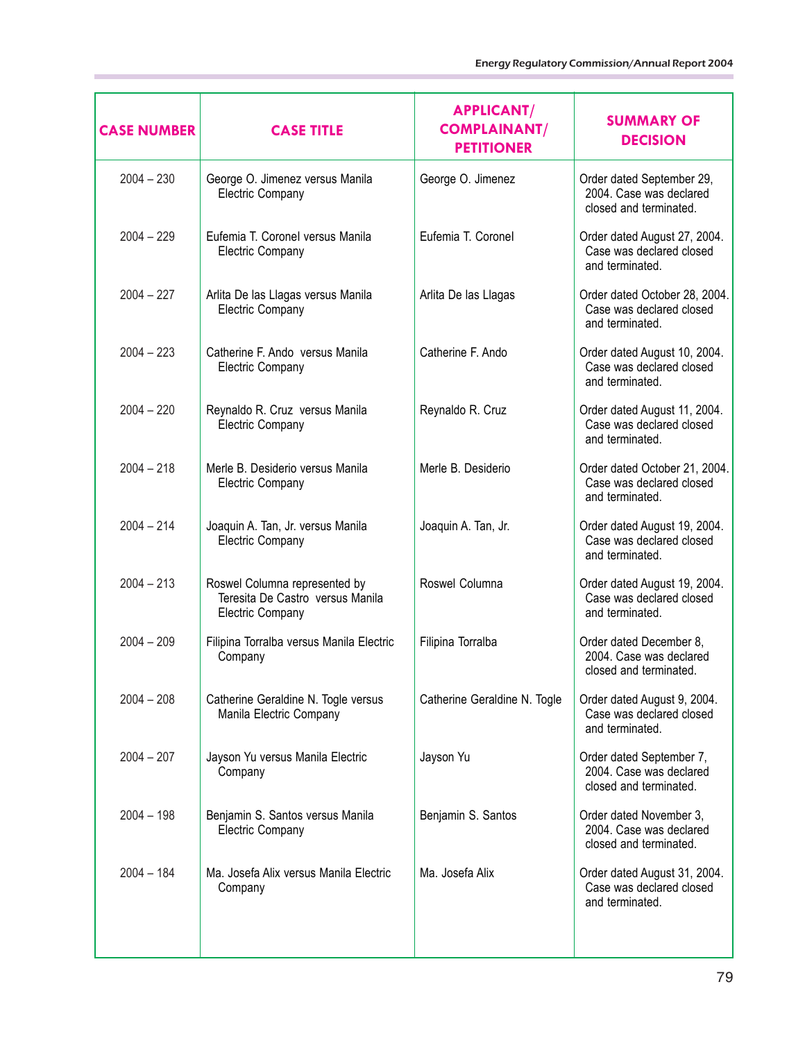| <b>CASE NUMBER</b> | <b>CASE TITLE</b>                                                                            | <b>APPLICANT/</b><br><b>COMPLAINANT/</b><br><b>PETITIONER</b> | <b>SUMMARY OF</b><br><b>DECISION</b>                                           |
|--------------------|----------------------------------------------------------------------------------------------|---------------------------------------------------------------|--------------------------------------------------------------------------------|
| $2004 - 230$       | George O. Jimenez versus Manila<br><b>Electric Company</b>                                   | George O. Jimenez                                             | Order dated September 29,<br>2004. Case was declared<br>closed and terminated. |
| $2004 - 229$       | Eufemia T. Coronel versus Manila<br>Electric Company                                         | Eufemia T. Coronel                                            | Order dated August 27, 2004.<br>Case was declared closed<br>and terminated.    |
| $2004 - 227$       | Arlita De las Llagas versus Manila<br><b>Electric Company</b>                                | Arlita De las Llagas                                          | Order dated October 28, 2004.<br>Case was declared closed<br>and terminated.   |
| $2004 - 223$       | Catherine F. Ando versus Manila<br><b>Electric Company</b>                                   | Catherine F. Ando                                             | Order dated August 10, 2004.<br>Case was declared closed<br>and terminated.    |
| $2004 - 220$       | Reynaldo R. Cruz versus Manila<br><b>Electric Company</b>                                    | Reynaldo R. Cruz                                              | Order dated August 11, 2004.<br>Case was declared closed<br>and terminated.    |
| $2004 - 218$       | Merle B. Desiderio versus Manila<br>Electric Company                                         | Merle B. Desiderio                                            | Order dated October 21, 2004.<br>Case was declared closed<br>and terminated.   |
| $2004 - 214$       | Joaquin A. Tan, Jr. versus Manila<br><b>Electric Company</b>                                 | Joaquin A. Tan, Jr.                                           | Order dated August 19, 2004.<br>Case was declared closed<br>and terminated.    |
| $2004 - 213$       | Roswel Columna represented by<br>Teresita De Castro versus Manila<br><b>Electric Company</b> | Roswel Columna                                                | Order dated August 19, 2004.<br>Case was declared closed<br>and terminated.    |
| $2004 - 209$       | Filipina Torralba versus Manila Electric<br>Company                                          | Filipina Torralba                                             | Order dated December 8,<br>2004. Case was declared<br>closed and terminated.   |
| $2004 - 208$       | Catherine Geraldine N. Togle versus<br>Manila Electric Company                               | Catherine Geraldine N. Togle                                  | Order dated August 9, 2004.<br>Case was declared closed<br>and terminated.     |
| $2004 - 207$       | Jayson Yu versus Manila Electric<br>Company                                                  | Jayson Yu                                                     | Order dated September 7,<br>2004. Case was declared<br>closed and terminated.  |
| $2004 - 198$       | Benjamin S. Santos versus Manila<br>Electric Company                                         | Benjamin S. Santos                                            | Order dated November 3,<br>2004. Case was declared<br>closed and terminated.   |
| $2004 - 184$       | Ma. Josefa Alix versus Manila Electric<br>Company                                            | Ma. Josefa Alix                                               | Order dated August 31, 2004.<br>Case was declared closed<br>and terminated.    |
|                    |                                                                                              |                                                               |                                                                                |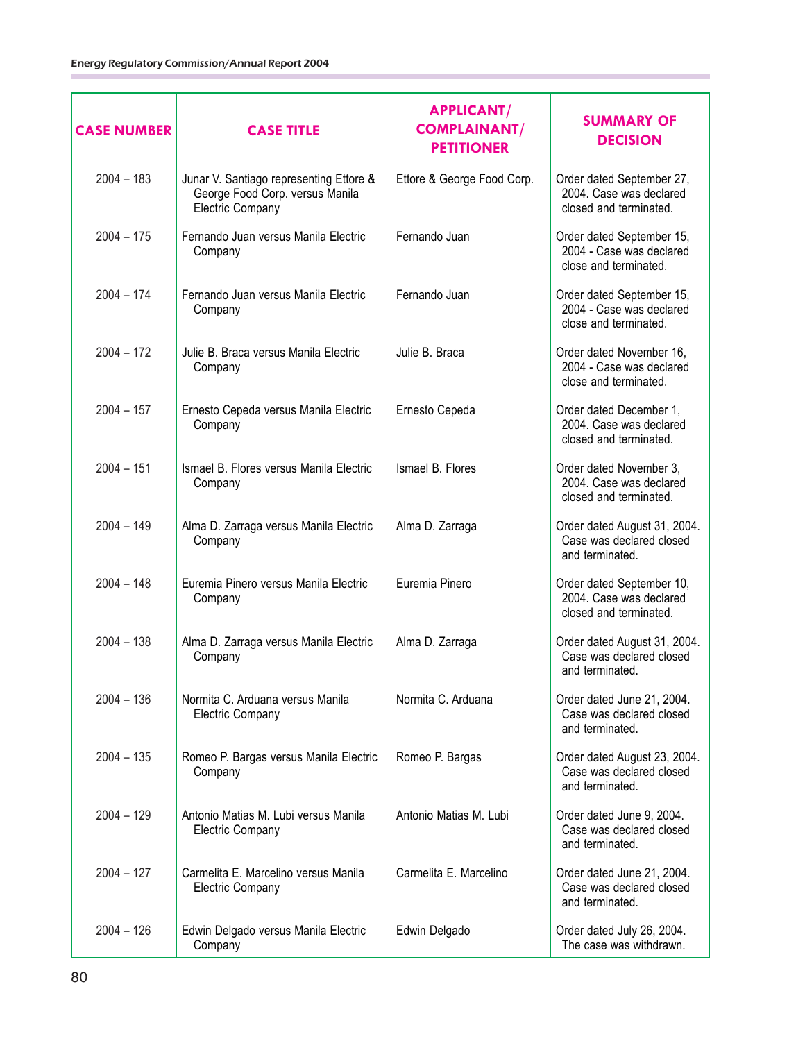| <b>CASE NUMBER</b> | <b>CASE TITLE</b>                                                                              | <b>APPLICANT/</b><br><b>COMPLAINANT/</b><br><b>PETITIONER</b> | <b>SUMMARY OF</b><br><b>DECISION</b>                                           |
|--------------------|------------------------------------------------------------------------------------------------|---------------------------------------------------------------|--------------------------------------------------------------------------------|
| $2004 - 183$       | Junar V. Santiago representing Ettore &<br>George Food Corp. versus Manila<br>Electric Company | Ettore & George Food Corp.                                    | Order dated September 27,<br>2004. Case was declared<br>closed and terminated. |
| $2004 - 175$       | Fernando Juan versus Manila Electric<br>Company                                                | Fernando Juan                                                 | Order dated September 15,<br>2004 - Case was declared<br>close and terminated. |
| $2004 - 174$       | Fernando Juan versus Manila Electric<br>Company                                                | Fernando Juan                                                 | Order dated September 15,<br>2004 - Case was declared<br>close and terminated. |
| $2004 - 172$       | Julie B. Braca versus Manila Electric<br>Company                                               | Julie B. Braca                                                | Order dated November 16,<br>2004 - Case was declared<br>close and terminated.  |
| $2004 - 157$       | Ernesto Cepeda versus Manila Electric<br>Company                                               | Ernesto Cepeda                                                | Order dated December 1,<br>2004. Case was declared<br>closed and terminated.   |
| $2004 - 151$       | Ismael B. Flores versus Manila Electric<br>Company                                             | Ismael B. Flores                                              | Order dated November 3,<br>2004. Case was declared<br>closed and terminated.   |
| $2004 - 149$       | Alma D. Zarraga versus Manila Electric<br>Company                                              | Alma D. Zarraga                                               | Order dated August 31, 2004.<br>Case was declared closed<br>and terminated.    |
| $2004 - 148$       | Euremia Pinero versus Manila Electric<br>Company                                               | Euremia Pinero                                                | Order dated September 10,<br>2004. Case was declared<br>closed and terminated. |
| $2004 - 138$       | Alma D. Zarraga versus Manila Electric<br>Company                                              | Alma D. Zarraga                                               | Order dated August 31, 2004.<br>Case was declared closed<br>and terminated.    |
| $2004 - 136$       | Normita C. Arduana versus Manila<br><b>Electric Company</b>                                    | Normita C. Arduana                                            | Order dated June 21, 2004.<br>Case was declared closed<br>and terminated.      |
| $2004 - 135$       | Romeo P. Bargas versus Manila Electric<br>Company                                              | Romeo P. Bargas                                               | Order dated August 23, 2004.<br>Case was declared closed<br>and terminated.    |
| $2004 - 129$       | Antonio Matias M. Lubi versus Manila<br><b>Electric Company</b>                                | Antonio Matias M. Lubi                                        | Order dated June 9, 2004.<br>Case was declared closed<br>and terminated.       |
| $2004 - 127$       | Carmelita E. Marcelino versus Manila<br><b>Electric Company</b>                                | Carmelita E. Marcelino                                        | Order dated June 21, 2004.<br>Case was declared closed<br>and terminated.      |
| $2004 - 126$       | Edwin Delgado versus Manila Electric<br>Company                                                | Edwin Delgado                                                 | Order dated July 26, 2004.<br>The case was withdrawn.                          |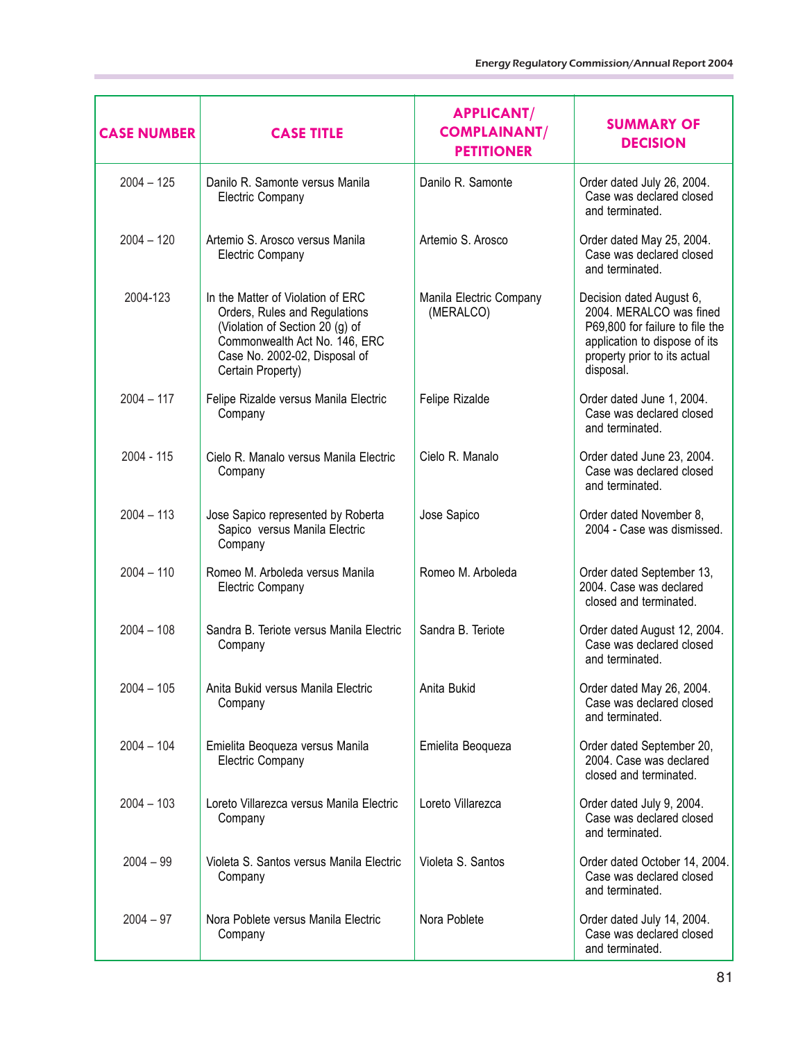| <b>CASE NUMBER</b> | <b>CASE TITLE</b>                                                                                                                                                                            | <b>APPLICANT/</b><br><b>COMPLAINANT/</b><br><b>PETITIONER</b> | <b>SUMMARY OF</b><br><b>DECISION</b>                                                                                                                                 |
|--------------------|----------------------------------------------------------------------------------------------------------------------------------------------------------------------------------------------|---------------------------------------------------------------|----------------------------------------------------------------------------------------------------------------------------------------------------------------------|
| $2004 - 125$       | Danilo R. Samonte versus Manila<br><b>Electric Company</b>                                                                                                                                   | Danilo R. Samonte                                             | Order dated July 26, 2004.<br>Case was declared closed<br>and terminated.                                                                                            |
| $2004 - 120$       | Artemio S. Arosco versus Manila<br><b>Electric Company</b>                                                                                                                                   | Artemio S. Arosco                                             | Order dated May 25, 2004.<br>Case was declared closed<br>and terminated.                                                                                             |
| 2004-123           | In the Matter of Violation of ERC<br>Orders, Rules and Regulations<br>(Violation of Section 20 (g) of<br>Commonwealth Act No. 146, ERC<br>Case No. 2002-02, Disposal of<br>Certain Property) | Manila Electric Company<br>(MERALCO)                          | Decision dated August 6,<br>2004. MERALCO was fined<br>P69,800 for failure to file the<br>application to dispose of its<br>property prior to its actual<br>disposal. |
| $2004 - 117$       | Felipe Rizalde versus Manila Electric<br>Company                                                                                                                                             | Felipe Rizalde                                                | Order dated June 1, 2004.<br>Case was declared closed<br>and terminated.                                                                                             |
| $2004 - 115$       | Cielo R. Manalo versus Manila Electric<br>Company                                                                                                                                            | Cielo R. Manalo                                               | Order dated June 23, 2004.<br>Case was declared closed<br>and terminated.                                                                                            |
| $2004 - 113$       | Jose Sapico represented by Roberta<br>Sapico versus Manila Electric<br>Company                                                                                                               | Jose Sapico                                                   | Order dated November 8,<br>2004 - Case was dismissed.                                                                                                                |
| $2004 - 110$       | Romeo M. Arboleda versus Manila<br><b>Electric Company</b>                                                                                                                                   | Romeo M. Arboleda                                             | Order dated September 13,<br>2004. Case was declared<br>closed and terminated.                                                                                       |
| $2004 - 108$       | Sandra B. Teriote versus Manila Electric<br>Company                                                                                                                                          | Sandra B. Teriote                                             | Order dated August 12, 2004.<br>Case was declared closed<br>and terminated.                                                                                          |
| 2004 - 105         | Anita Bukid versus Manila Electric<br>Company                                                                                                                                                | Anita Bukid                                                   | Order dated May 26, 2004.<br>Case was declared closed<br>and terminated.                                                                                             |
| $2004 - 104$       | Emielita Beoqueza versus Manila<br><b>Electric Company</b>                                                                                                                                   | Emielita Beoqueza                                             | Order dated September 20,<br>2004. Case was declared<br>closed and terminated.                                                                                       |
| $2004 - 103$       | Loreto Villarezca versus Manila Electric<br>Company                                                                                                                                          | Loreto Villarezca                                             | Order dated July 9, 2004.<br>Case was declared closed<br>and terminated.                                                                                             |
| $2004 - 99$        | Violeta S. Santos versus Manila Electric<br>Company                                                                                                                                          | Violeta S. Santos                                             | Order dated October 14, 2004.<br>Case was declared closed<br>and terminated.                                                                                         |
| $2004 - 97$        | Nora Poblete versus Manila Electric<br>Company                                                                                                                                               | Nora Poblete                                                  | Order dated July 14, 2004.<br>Case was declared closed<br>and terminated.                                                                                            |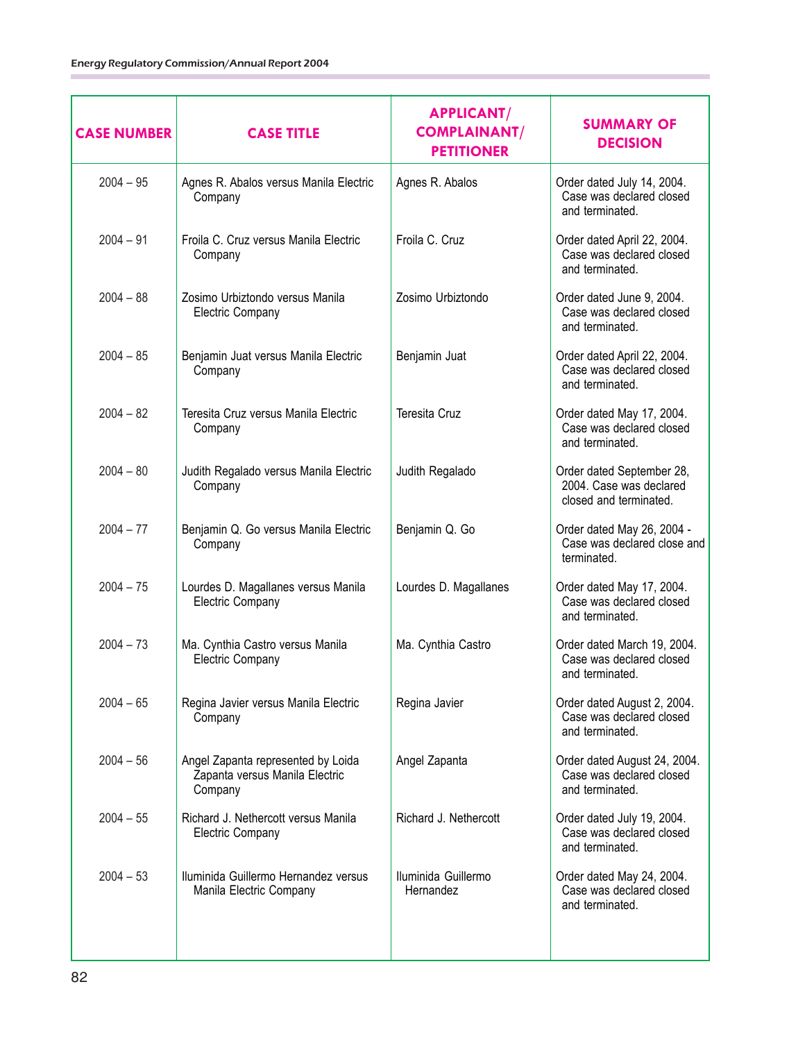| <b>CASE NUMBER</b> | <b>CASE TITLE</b>                                                               | <b>APPLICANT/</b><br><b>COMPLAINANT/</b><br><b>PETITIONER</b> | <b>SUMMARY OF</b><br><b>DECISION</b>                                           |
|--------------------|---------------------------------------------------------------------------------|---------------------------------------------------------------|--------------------------------------------------------------------------------|
| $2004 - 95$        | Agnes R. Abalos versus Manila Electric<br>Company                               | Agnes R. Abalos                                               | Order dated July 14, 2004.<br>Case was declared closed<br>and terminated.      |
| $2004 - 91$        | Froila C. Cruz versus Manila Electric<br>Company                                | Froila C. Cruz                                                | Order dated April 22, 2004.<br>Case was declared closed<br>and terminated.     |
| $2004 - 88$        | Zosimo Urbiztondo versus Manila<br>Electric Company                             | Zosimo Urbiztondo                                             | Order dated June 9, 2004.<br>Case was declared closed<br>and terminated.       |
| $2004 - 85$        | Benjamin Juat versus Manila Electric<br>Company                                 | Benjamin Juat                                                 | Order dated April 22, 2004.<br>Case was declared closed<br>and terminated.     |
| $2004 - 82$        | Teresita Cruz versus Manila Electric<br>Company                                 | Teresita Cruz                                                 | Order dated May 17, 2004.<br>Case was declared closed<br>and terminated.       |
| $2004 - 80$        | Judith Regalado versus Manila Electric<br>Company                               | Judith Regalado                                               | Order dated September 28,<br>2004. Case was declared<br>closed and terminated. |
| $2004 - 77$        | Benjamin Q. Go versus Manila Electric<br>Company                                | Benjamin Q. Go                                                | Order dated May 26, 2004 -<br>Case was declared close and<br>terminated.       |
| $2004 - 75$        | Lourdes D. Magallanes versus Manila<br>Electric Company                         | Lourdes D. Magallanes                                         | Order dated May 17, 2004.<br>Case was declared closed<br>and terminated.       |
| $2004 - 73$        | Ma. Cynthia Castro versus Manila<br><b>Electric Company</b>                     | Ma. Cynthia Castro                                            | Order dated March 19, 2004.<br>Case was declared closed<br>and terminated.     |
| $2004 - 65$        | Regina Javier versus Manila Electric<br>Company                                 | Regina Javier                                                 | Order dated August 2, 2004.<br>Case was declared closed<br>and terminated.     |
| $2004 - 56$        | Angel Zapanta represented by Loida<br>Zapanta versus Manila Electric<br>Company | Angel Zapanta                                                 | Order dated August 24, 2004.<br>Case was declared closed<br>and terminated.    |
| $2004 - 55$        | Richard J. Nethercott versus Manila<br><b>Electric Company</b>                  | Richard J. Nethercott                                         | Order dated July 19, 2004.<br>Case was declared closed<br>and terminated.      |
| $2004 - 53$        | Iluminida Guillermo Hernandez versus<br>Manila Electric Company                 | Iluminida Guillermo<br>Hernandez                              | Order dated May 24, 2004.<br>Case was declared closed<br>and terminated.       |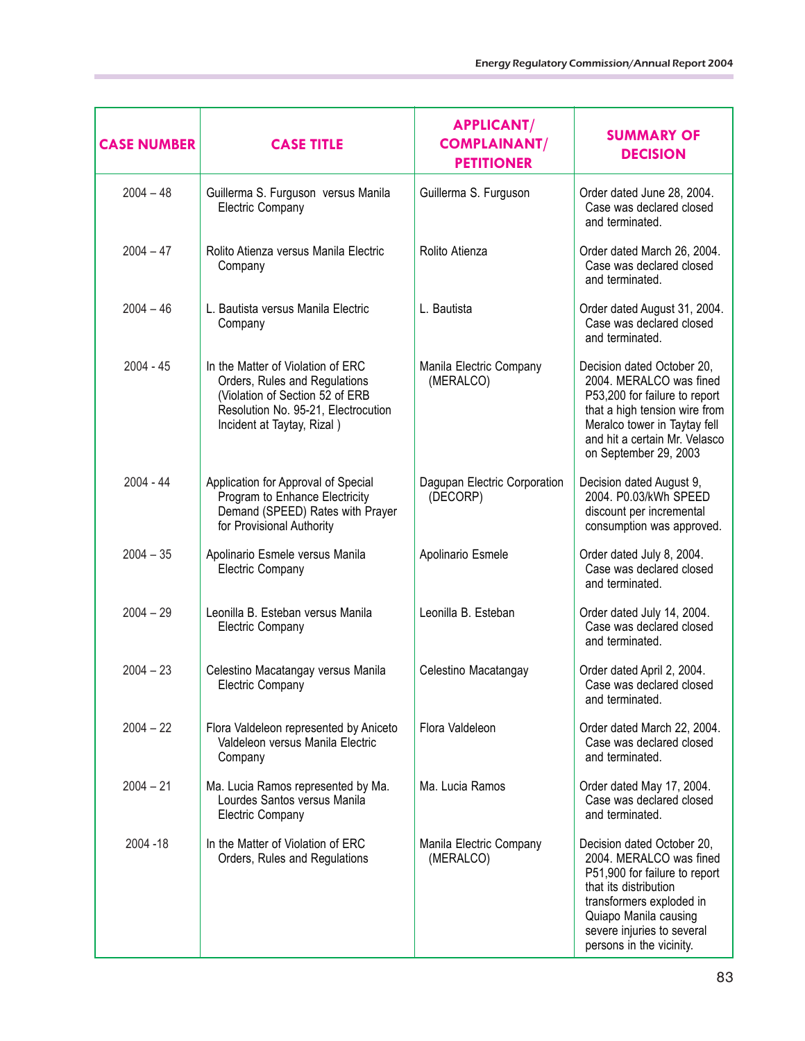| <b>CASE NUMBER</b> | <b>CASE TITLE</b>                                                                                                                                                          | <b>APPLICANT/</b><br><b>COMPLAINANT/</b><br><b>PETITIONER</b> | <b>SUMMARY OF</b><br><b>DECISION</b>                                                                                                                                                                                           |
|--------------------|----------------------------------------------------------------------------------------------------------------------------------------------------------------------------|---------------------------------------------------------------|--------------------------------------------------------------------------------------------------------------------------------------------------------------------------------------------------------------------------------|
| $2004 - 48$        | Guillerma S. Furguson versus Manila<br><b>Electric Company</b>                                                                                                             | Guillerma S. Furguson                                         | Order dated June 28, 2004.<br>Case was declared closed<br>and terminated.                                                                                                                                                      |
| $2004 - 47$        | Rolito Atienza versus Manila Electric<br>Company                                                                                                                           | Rolito Atienza                                                | Order dated March 26, 2004.<br>Case was declared closed<br>and terminated.                                                                                                                                                     |
| $2004 - 46$        | L. Bautista versus Manila Electric<br>Company                                                                                                                              | L. Bautista                                                   | Order dated August 31, 2004.<br>Case was declared closed<br>and terminated.                                                                                                                                                    |
| $2004 - 45$        | In the Matter of Violation of ERC<br>Orders, Rules and Regulations<br>(Violation of Section 52 of ERB<br>Resolution No. 95-21, Electrocution<br>Incident at Taytay, Rizal) | Manila Electric Company<br>(MERALCO)                          | Decision dated October 20,<br>2004. MERALCO was fined<br>P53,200 for failure to report<br>that a high tension wire from<br>Meralco tower in Taytay fell<br>and hit a certain Mr. Velasco<br>on September 29, 2003              |
| $2004 - 44$        | Application for Approval of Special<br>Program to Enhance Electricity<br>Demand (SPEED) Rates with Prayer<br>for Provisional Authority                                     | Dagupan Electric Corporation<br>(DECORP)                      | Decision dated August 9,<br>2004. P0.03/kWh SPEED<br>discount per incremental<br>consumption was approved.                                                                                                                     |
| $2004 - 35$        | Apolinario Esmele versus Manila<br><b>Electric Company</b>                                                                                                                 | Apolinario Esmele                                             | Order dated July 8, 2004.<br>Case was declared closed<br>and terminated.                                                                                                                                                       |
| $2004 - 29$        | Leonilla B. Esteban versus Manila<br>Electric Company                                                                                                                      | Leonilla B. Esteban                                           | Order dated July 14, 2004.<br>Case was declared closed<br>and terminated.                                                                                                                                                      |
| $2004 - 23$        | Celestino Macatangay versus Manila<br>Electric Company                                                                                                                     | Celestino Macatangay                                          | Order dated April 2, 2004.<br>Case was declared closed<br>and terminated.                                                                                                                                                      |
| $2004 - 22$        | Flora Valdeleon represented by Aniceto<br>Valdeleon versus Manila Electric<br>Company                                                                                      | Flora Valdeleon                                               | Order dated March 22, 2004.<br>Case was declared closed<br>and terminated.                                                                                                                                                     |
| $2004 - 21$        | Ma. Lucia Ramos represented by Ma.<br>Lourdes Santos versus Manila<br><b>Electric Company</b>                                                                              | Ma. Lucia Ramos                                               | Order dated May 17, 2004.<br>Case was declared closed<br>and terminated.                                                                                                                                                       |
| 2004 - 18          | In the Matter of Violation of ERC<br>Orders, Rules and Regulations                                                                                                         | Manila Electric Company<br>(MERALCO)                          | Decision dated October 20,<br>2004. MERALCO was fined<br>P51,900 for failure to report<br>that its distribution<br>transformers exploded in<br>Quiapo Manila causing<br>severe injuries to several<br>persons in the vicinity. |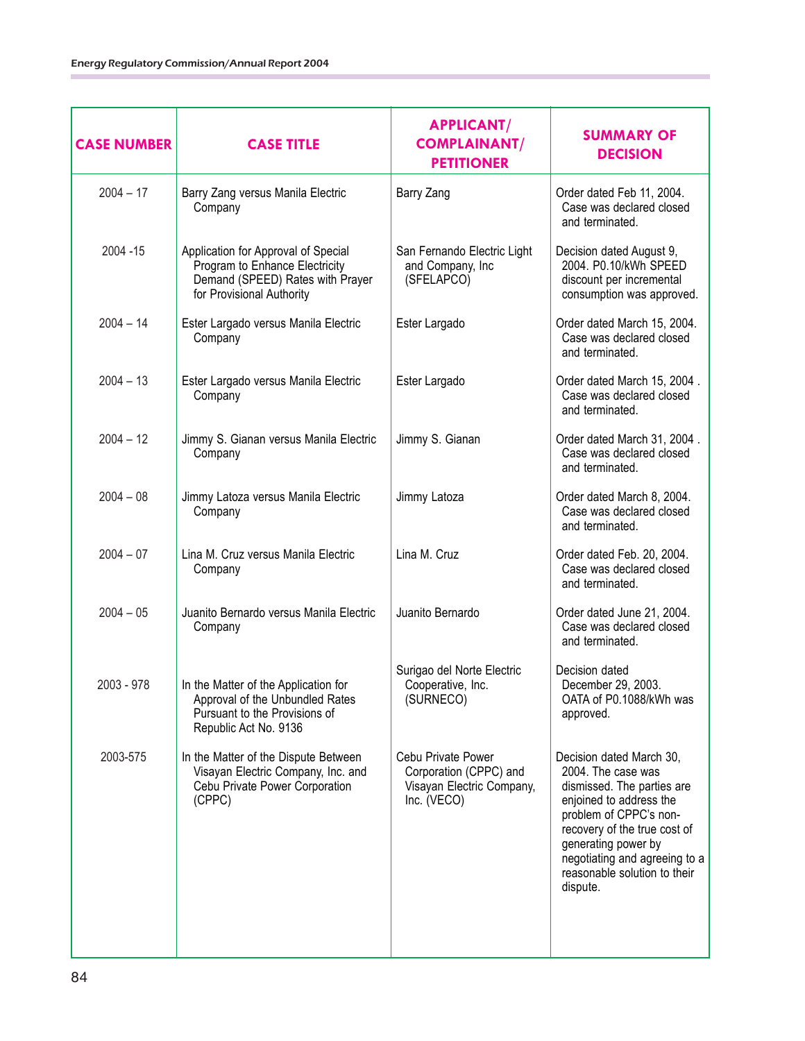| <b>CASE NUMBER</b> | <b>CASE TITLE</b>                                                                                                                      | <b>APPLICANT/</b><br><b>COMPLAINANT/</b><br><b>PETITIONER</b>                            | <b>SUMMARY OF</b><br><b>DECISION</b>                                                                                                                                                                                                                                  |
|--------------------|----------------------------------------------------------------------------------------------------------------------------------------|------------------------------------------------------------------------------------------|-----------------------------------------------------------------------------------------------------------------------------------------------------------------------------------------------------------------------------------------------------------------------|
| $2004 - 17$        | Barry Zang versus Manila Electric<br>Company                                                                                           | Barry Zang                                                                               | Order dated Feb 11, 2004.<br>Case was declared closed<br>and terminated.                                                                                                                                                                                              |
| 2004 - 15          | Application for Approval of Special<br>Program to Enhance Electricity<br>Demand (SPEED) Rates with Prayer<br>for Provisional Authority | San Fernando Electric Light<br>and Company, Inc<br>(SFELAPCO)                            | Decision dated August 9,<br>2004. P0.10/kWh SPEED<br>discount per incremental<br>consumption was approved.                                                                                                                                                            |
| $2004 - 14$        | Ester Largado versus Manila Electric<br>Company                                                                                        | Ester Largado                                                                            | Order dated March 15, 2004.<br>Case was declared closed<br>and terminated.                                                                                                                                                                                            |
| $2004 - 13$        | Ester Largado versus Manila Electric<br>Company                                                                                        | Ester Largado                                                                            | Order dated March 15, 2004.<br>Case was declared closed<br>and terminated.                                                                                                                                                                                            |
| $2004 - 12$        | Jimmy S. Gianan versus Manila Electric<br>Company                                                                                      | Jimmy S. Gianan                                                                          | Order dated March 31, 2004.<br>Case was declared closed<br>and terminated.                                                                                                                                                                                            |
| $2004 - 08$        | Jimmy Latoza versus Manila Electric<br>Company                                                                                         | Jimmy Latoza                                                                             | Order dated March 8, 2004.<br>Case was declared closed<br>and terminated.                                                                                                                                                                                             |
| $2004 - 07$        | Lina M. Cruz versus Manila Electric<br>Company                                                                                         | Lina M. Cruz                                                                             | Order dated Feb. 20, 2004.<br>Case was declared closed<br>and terminated.                                                                                                                                                                                             |
| $2004 - 05$        | Juanito Bernardo versus Manila Electric<br>Company                                                                                     | Juanito Bernardo                                                                         | Order dated June 21, 2004.<br>Case was declared closed<br>and terminated.                                                                                                                                                                                             |
| 2003 - 978         | In the Matter of the Application for<br>Approval of the Unbundled Rates<br>Pursuant to the Provisions of<br>Republic Act No. 9136      | Surigao del Norte Electric<br>Cooperative, Inc.<br>(SURNECO)                             | Decision dated<br>December 29, 2003.<br>OATA of P0.1088/kWh was<br>approved.                                                                                                                                                                                          |
| 2003-575           | In the Matter of the Dispute Between<br>Visayan Electric Company, Inc. and<br>Cebu Private Power Corporation<br>(CPPC)                 | Cebu Private Power<br>Corporation (CPPC) and<br>Visayan Electric Company,<br>Inc. (VECO) | Decision dated March 30,<br>2004. The case was<br>dismissed. The parties are<br>enjoined to address the<br>problem of CPPC's non-<br>recovery of the true cost of<br>generating power by<br>negotiating and agreeing to a<br>reasonable solution to their<br>dispute. |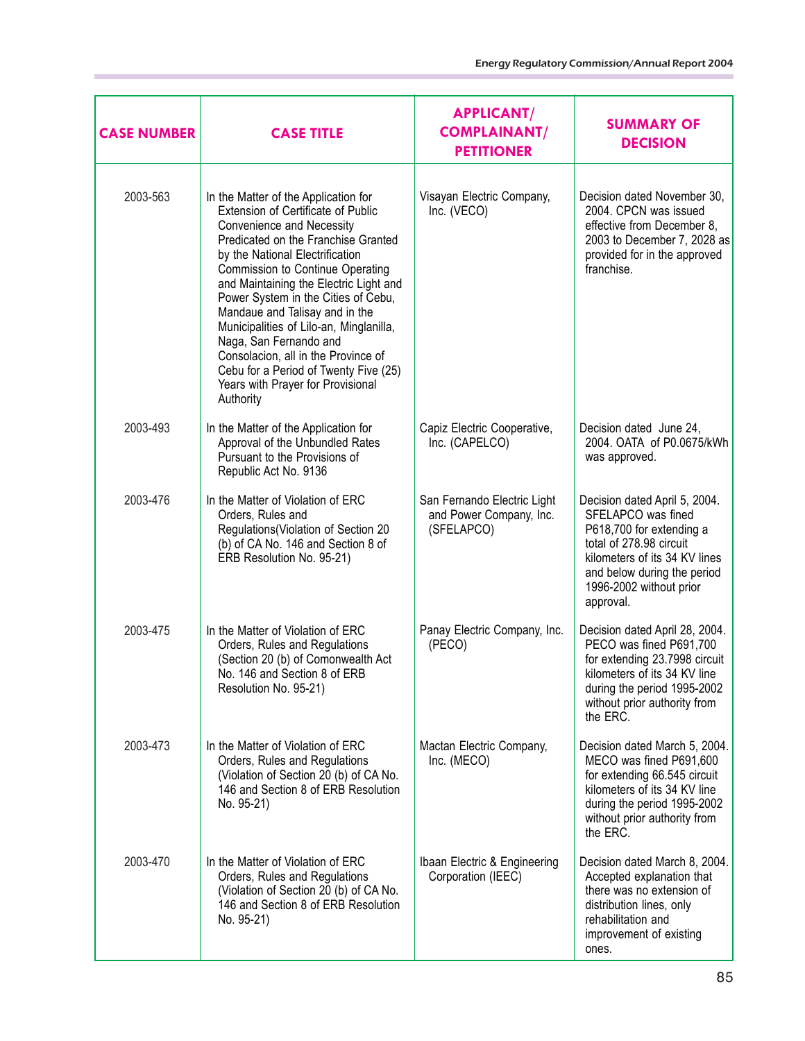| <b>CASE NUMBER</b> | <b>CASE TITLE</b>                                                                                                                                                                                                                                                                                                                                                                                                                                                                                                                                      | <b>APPLICANT/</b><br><b>COMPLAINANT/</b><br><b>PETITIONER</b>        | <b>SUMMARY OF</b><br><b>DECISION</b>                                                                                                                                                                               |
|--------------------|--------------------------------------------------------------------------------------------------------------------------------------------------------------------------------------------------------------------------------------------------------------------------------------------------------------------------------------------------------------------------------------------------------------------------------------------------------------------------------------------------------------------------------------------------------|----------------------------------------------------------------------|--------------------------------------------------------------------------------------------------------------------------------------------------------------------------------------------------------------------|
| 2003-563           | In the Matter of the Application for<br>Extension of Certificate of Public<br><b>Convenience and Necessity</b><br>Predicated on the Franchise Granted<br>by the National Electrification<br>Commission to Continue Operating<br>and Maintaining the Electric Light and<br>Power System in the Cities of Cebu,<br>Mandaue and Talisay and in the<br>Municipalities of Lilo-an, Minglanilla,<br>Naga, San Fernando and<br>Consolacion, all in the Province of<br>Cebu for a Period of Twenty Five (25)<br>Years with Prayer for Provisional<br>Authority | Visayan Electric Company,<br>Inc. (VECO)                             | Decision dated November 30,<br>2004. CPCN was issued<br>effective from December 8,<br>2003 to December 7, 2028 as<br>provided for in the approved<br>franchise.                                                    |
| 2003-493           | In the Matter of the Application for<br>Approval of the Unbundled Rates<br>Pursuant to the Provisions of<br>Republic Act No. 9136                                                                                                                                                                                                                                                                                                                                                                                                                      | Capiz Electric Cooperative,<br>Inc. (CAPELCO)                        | Decision dated June 24,<br>2004. OATA of P0.0675/kWh<br>was approved.                                                                                                                                              |
| 2003-476           | In the Matter of Violation of ERC<br>Orders, Rules and<br>Regulations (Violation of Section 20<br>(b) of CA No. 146 and Section 8 of<br>ERB Resolution No. 95-21)                                                                                                                                                                                                                                                                                                                                                                                      | San Fernando Electric Light<br>and Power Company, Inc.<br>(SFELAPCO) | Decision dated April 5, 2004.<br>SFELAPCO was fined<br>P618,700 for extending a<br>total of 278.98 circuit<br>kilometers of its 34 KV lines<br>and below during the period<br>1996-2002 without prior<br>approval. |
| 2003-475           | In the Matter of Violation of ERC<br>Orders, Rules and Regulations<br>(Section 20 (b) of Comonwealth Act<br>No. 146 and Section 8 of ERB<br>Resolution No. 95-21)                                                                                                                                                                                                                                                                                                                                                                                      | Panay Electric Company, Inc.<br>(PECO)                               | Decision dated April 28, 2004.<br>PECO was fined P691,700<br>for extending 23.7998 circuit<br>kilometers of its 34 KV line<br>during the period 1995-2002<br>without prior authority from<br>the ERC.              |
| 2003-473           | In the Matter of Violation of ERC<br>Orders, Rules and Regulations<br>(Violation of Section 20 (b) of CA No.<br>146 and Section 8 of ERB Resolution<br>No. 95-21)                                                                                                                                                                                                                                                                                                                                                                                      | Mactan Electric Company,<br>Inc. (MECO)                              | Decision dated March 5, 2004.<br>MECO was fined P691,600<br>for extending 66.545 circuit<br>kilometers of its 34 KV line<br>during the period 1995-2002<br>without prior authority from<br>the ERC.                |
| 2003-470           | In the Matter of Violation of ERC<br>Orders, Rules and Regulations<br>(Violation of Section 20 (b) of CA No.<br>146 and Section 8 of ERB Resolution<br>No. 95-21)                                                                                                                                                                                                                                                                                                                                                                                      | Ibaan Electric & Engineering<br>Corporation (IEEC)                   | Decision dated March 8, 2004.<br>Accepted explanation that<br>there was no extension of<br>distribution lines, only<br>rehabilitation and<br>improvement of existing<br>ones.                                      |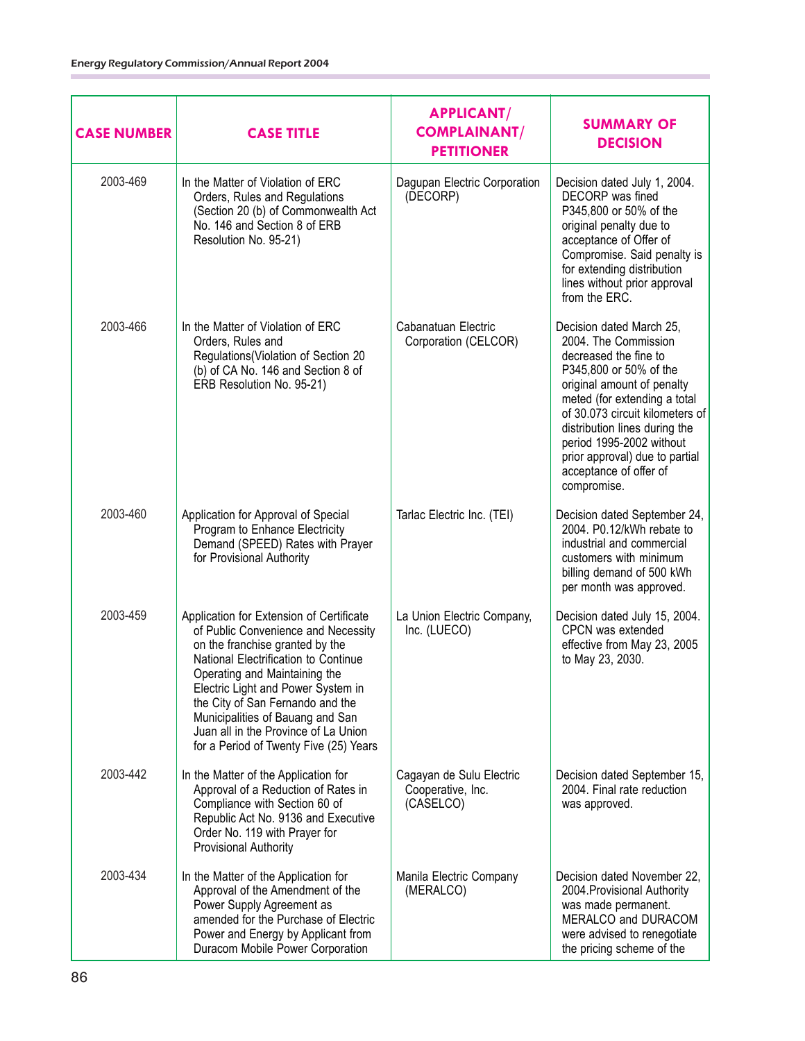| <b>CASE NUMBER</b> | <b>CASE TITLE</b>                                                                                                                                                                                                                                                                                                                                                                           | <b>APPLICANT/</b><br><b>COMPLAINANT/</b><br><b>PETITIONER</b> | <b>SUMMARY OF</b><br><b>DECISION</b>                                                                                                                                                                                                                                                                                                         |
|--------------------|---------------------------------------------------------------------------------------------------------------------------------------------------------------------------------------------------------------------------------------------------------------------------------------------------------------------------------------------------------------------------------------------|---------------------------------------------------------------|----------------------------------------------------------------------------------------------------------------------------------------------------------------------------------------------------------------------------------------------------------------------------------------------------------------------------------------------|
| 2003-469           | In the Matter of Violation of ERC<br>Orders, Rules and Regulations<br>(Section 20 (b) of Commonwealth Act<br>No. 146 and Section 8 of ERB<br>Resolution No. 95-21)                                                                                                                                                                                                                          | Dagupan Electric Corporation<br>(DECORP)                      | Decision dated July 1, 2004.<br>DECORP was fined<br>P345,800 or 50% of the<br>original penalty due to<br>acceptance of Offer of<br>Compromise. Said penalty is<br>for extending distribution<br>lines without prior approval<br>from the ERC.                                                                                                |
| 2003-466           | In the Matter of Violation of ERC<br>Orders, Rules and<br>Regulations(Violation of Section 20<br>(b) of CA No. 146 and Section 8 of<br>ERB Resolution No. 95-21)                                                                                                                                                                                                                            | Cabanatuan Electric<br>Corporation (CELCOR)                   | Decision dated March 25,<br>2004. The Commission<br>decreased the fine to<br>P345,800 or 50% of the<br>original amount of penalty<br>meted (for extending a total<br>of 30.073 circuit kilometers of<br>distribution lines during the<br>period 1995-2002 without<br>prior approval) due to partial<br>acceptance of offer of<br>compromise. |
| 2003-460           | Application for Approval of Special<br>Program to Enhance Electricity<br>Demand (SPEED) Rates with Prayer<br>for Provisional Authority                                                                                                                                                                                                                                                      | Tarlac Electric Inc. (TEI)                                    | Decision dated September 24,<br>2004. P0.12/kWh rebate to<br>industrial and commercial<br>customers with minimum<br>billing demand of 500 kWh<br>per month was approved.                                                                                                                                                                     |
| 2003-459           | Application for Extension of Certificate<br>of Public Convenience and Necessity<br>on the franchise granted by the<br>National Electrification to Continue<br>Operating and Maintaining the<br>Electric Light and Power System in<br>the City of San Fernando and the<br>Municipalities of Bauang and San<br>Juan all in the Province of La Union<br>for a Period of Twenty Five (25) Years | La Union Electric Company,<br>Inc. (LUECO)                    | Decision dated July 15, 2004.<br>CPCN was extended<br>effective from May 23, 2005<br>to May 23, 2030.                                                                                                                                                                                                                                        |
| 2003-442           | In the Matter of the Application for<br>Approval of a Reduction of Rates in<br>Compliance with Section 60 of<br>Republic Act No. 9136 and Executive<br>Order No. 119 with Prayer for<br><b>Provisional Authority</b>                                                                                                                                                                        | Cagayan de Sulu Electric<br>Cooperative, Inc.<br>(CASELCO)    | Decision dated September 15,<br>2004. Final rate reduction<br>was approved.                                                                                                                                                                                                                                                                  |
| 2003-434           | In the Matter of the Application for<br>Approval of the Amendment of the<br>Power Supply Agreement as<br>amended for the Purchase of Electric<br>Power and Energy by Applicant from<br>Duracom Mobile Power Corporation                                                                                                                                                                     | Manila Electric Company<br>(MERALCO)                          | Decision dated November 22,<br>2004. Provisional Authority<br>was made permanent.<br>MERALCO and DURACOM<br>were advised to renegotiate<br>the pricing scheme of the                                                                                                                                                                         |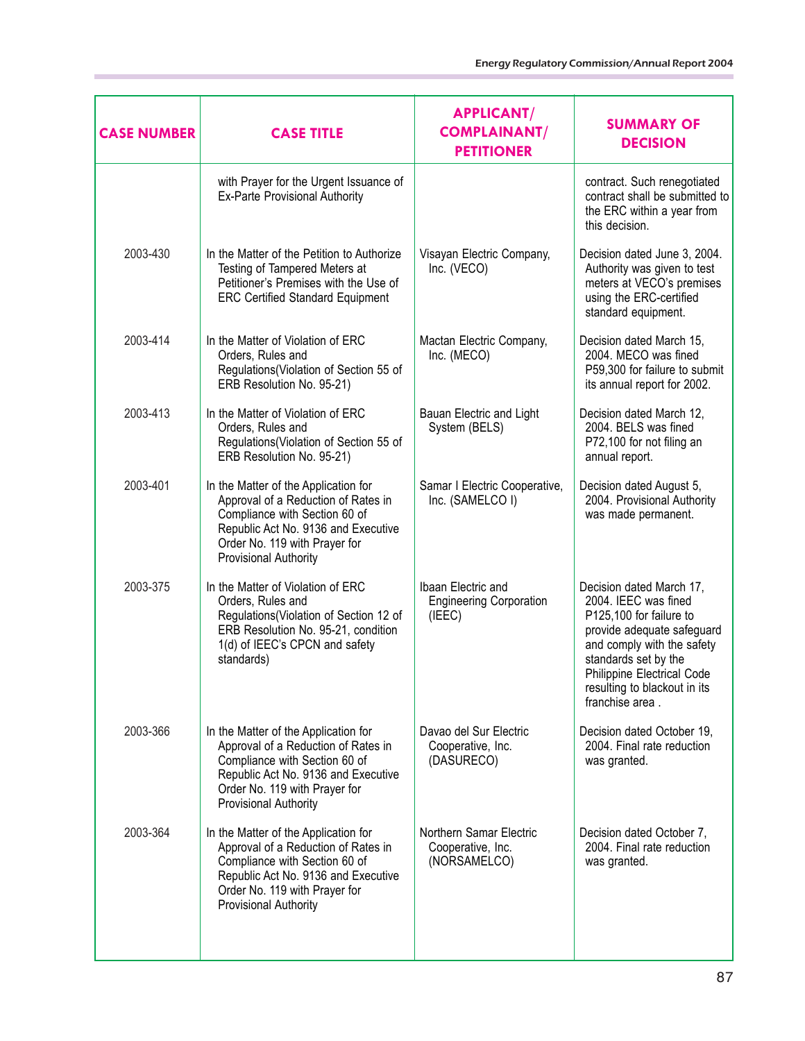| <b>CASE NUMBER</b> | <b>CASE TITLE</b>                                                                                                                                                                                             | <b>APPLICANT/</b><br><b>COMPLAINANT/</b><br><b>PETITIONER</b>  | <b>SUMMARY OF</b><br><b>DECISION</b>                                                                                                                                                                                                             |
|--------------------|---------------------------------------------------------------------------------------------------------------------------------------------------------------------------------------------------------------|----------------------------------------------------------------|--------------------------------------------------------------------------------------------------------------------------------------------------------------------------------------------------------------------------------------------------|
|                    | with Prayer for the Urgent Issuance of<br><b>Ex-Parte Provisional Authority</b>                                                                                                                               |                                                                | contract. Such renegotiated<br>contract shall be submitted to<br>the ERC within a year from<br>this decision.                                                                                                                                    |
| 2003-430           | In the Matter of the Petition to Authorize<br>Testing of Tampered Meters at<br>Petitioner's Premises with the Use of<br><b>ERC Certified Standard Equipment</b>                                               | Visayan Electric Company,<br>Inc. (VECO)                       | Decision dated June 3, 2004.<br>Authority was given to test<br>meters at VECO's premises<br>using the ERC-certified<br>standard equipment.                                                                                                       |
| 2003-414           | In the Matter of Violation of ERC<br>Orders, Rules and<br>Regulations(Violation of Section 55 of<br>ERB Resolution No. 95-21)                                                                                 | Mactan Electric Company,<br>Inc. (MECO)                        | Decision dated March 15,<br>2004. MECO was fined<br>P59,300 for failure to submit<br>its annual report for 2002.                                                                                                                                 |
| 2003-413           | In the Matter of Violation of ERC<br>Orders, Rules and<br>Regulations(Violation of Section 55 of<br>ERB Resolution No. 95-21)                                                                                 | Bauan Electric and Light<br>System (BELS)                      | Decision dated March 12,<br>2004. BELS was fined<br>P72,100 for not filing an<br>annual report.                                                                                                                                                  |
| 2003-401           | In the Matter of the Application for<br>Approval of a Reduction of Rates in<br>Compliance with Section 60 of<br>Republic Act No. 9136 and Executive<br>Order No. 119 with Prayer for<br>Provisional Authority | Samar I Electric Cooperative,<br>Inc. (SAMELCO I)              | Decision dated August 5,<br>2004. Provisional Authority<br>was made permanent.                                                                                                                                                                   |
| 2003-375           | In the Matter of Violation of ERC<br>Orders, Rules and<br>Regulations(Violation of Section 12 of<br>ERB Resolution No. 95-21, condition<br>1(d) of IEEC's CPCN and safety<br>standards)                       | Ibaan Electric and<br><b>Engineering Corporation</b><br>(IEEC) | Decision dated March 17,<br>2004. IEEC was fined<br>P125,100 for failure to<br>provide adequate safeguard<br>and comply with the safety<br>standards set by the<br>Philippine Electrical Code<br>resulting to blackout in its<br>franchise area. |
| 2003-366           | In the Matter of the Application for<br>Approval of a Reduction of Rates in<br>Compliance with Section 60 of<br>Republic Act No. 9136 and Executive<br>Order No. 119 with Prayer for<br>Provisional Authority | Davao del Sur Electric<br>Cooperative, Inc.<br>(DASURECO)      | Decision dated October 19,<br>2004. Final rate reduction<br>was granted.                                                                                                                                                                         |
| 2003-364           | In the Matter of the Application for<br>Approval of a Reduction of Rates in<br>Compliance with Section 60 of<br>Republic Act No. 9136 and Executive<br>Order No. 119 with Prayer for<br>Provisional Authority | Northern Samar Electric<br>Cooperative, Inc.<br>(NORSAMELCO)   | Decision dated October 7,<br>2004. Final rate reduction<br>was granted.                                                                                                                                                                          |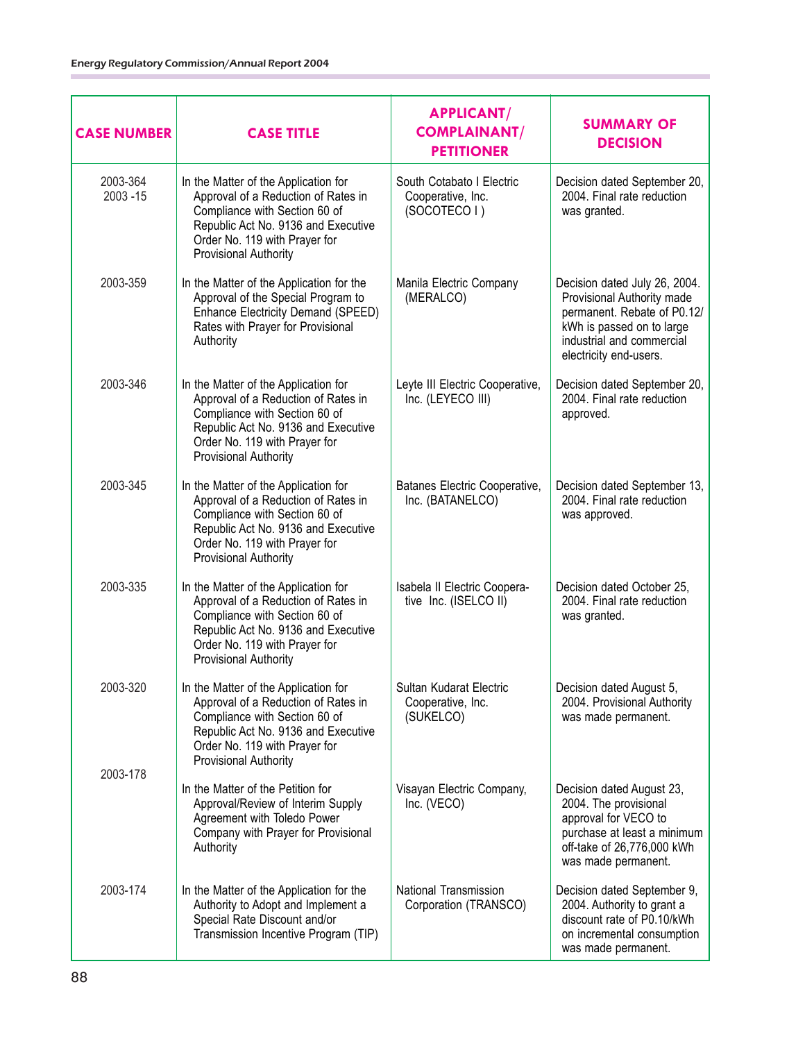| <b>CASE NUMBER</b>  | <b>CASE TITLE</b>                                                                                                                                                                                                    | <b>APPLICANT/</b><br><b>COMPLAINANT/</b><br><b>PETITIONER</b>  | <b>SUMMARY OF</b><br><b>DECISION</b>                                                                                                                                           |
|---------------------|----------------------------------------------------------------------------------------------------------------------------------------------------------------------------------------------------------------------|----------------------------------------------------------------|--------------------------------------------------------------------------------------------------------------------------------------------------------------------------------|
| 2003-364<br>2003-15 | In the Matter of the Application for<br>Approval of a Reduction of Rates in<br>Compliance with Section 60 of<br>Republic Act No. 9136 and Executive<br>Order No. 119 with Prayer for<br>Provisional Authority        | South Cotabato I Electric<br>Cooperative, Inc.<br>(SOCOTECO I) | Decision dated September 20,<br>2004. Final rate reduction<br>was granted.                                                                                                     |
| 2003-359            | In the Matter of the Application for the<br>Approval of the Special Program to<br>Enhance Electricity Demand (SPEED)<br>Rates with Prayer for Provisional<br>Authority                                               | Manila Electric Company<br>(MERALCO)                           | Decision dated July 26, 2004.<br>Provisional Authority made<br>permanent. Rebate of P0.12/<br>kWh is passed on to large<br>industrial and commercial<br>electricity end-users. |
| 2003-346            | In the Matter of the Application for<br>Approval of a Reduction of Rates in<br>Compliance with Section 60 of<br>Republic Act No. 9136 and Executive<br>Order No. 119 with Prayer for<br>Provisional Authority        | Leyte III Electric Cooperative,<br>Inc. (LEYECO III)           | Decision dated September 20,<br>2004. Final rate reduction<br>approved.                                                                                                        |
| 2003-345            | In the Matter of the Application for<br>Approval of a Reduction of Rates in<br>Compliance with Section 60 of<br>Republic Act No. 9136 and Executive<br>Order No. 119 with Prayer for<br>Provisional Authority        | Batanes Electric Cooperative,<br>Inc. (BATANELCO)              | Decision dated September 13,<br>2004. Final rate reduction<br>was approved.                                                                                                    |
| 2003-335            | In the Matter of the Application for<br>Approval of a Reduction of Rates in<br>Compliance with Section 60 of<br>Republic Act No. 9136 and Executive<br>Order No. 119 with Prayer for<br><b>Provisional Authority</b> | Isabela II Electric Coopera-<br>tive Inc. (ISELCO II)          | Decision dated October 25,<br>2004. Final rate reduction<br>was granted.                                                                                                       |
| 2003-320            | In the Matter of the Application for<br>Approval of a Reduction of Rates in<br>Compliance with Section 60 of<br>Republic Act No. 9136 and Executive<br>Order No. 119 with Prayer for<br><b>Provisional Authority</b> | Sultan Kudarat Electric<br>Cooperative, Inc.<br>(SUKELCO)      | Decision dated August 5,<br>2004. Provisional Authority<br>was made permanent.                                                                                                 |
| 2003-178            | In the Matter of the Petition for<br>Approval/Review of Interim Supply<br>Agreement with Toledo Power<br>Company with Prayer for Provisional<br>Authority                                                            | Visayan Electric Company,<br>Inc. (VECO)                       | Decision dated August 23,<br>2004. The provisional<br>approval for VECO to<br>purchase at least a minimum<br>off-take of 26,776,000 kWh<br>was made permanent.                 |
| 2003-174            | In the Matter of the Application for the<br>Authority to Adopt and Implement a<br>Special Rate Discount and/or<br>Transmission Incentive Program (TIP)                                                               | National Transmission<br>Corporation (TRANSCO)                 | Decision dated September 9,<br>2004. Authority to grant a<br>discount rate of P0.10/kWh<br>on incremental consumption<br>was made permanent.                                   |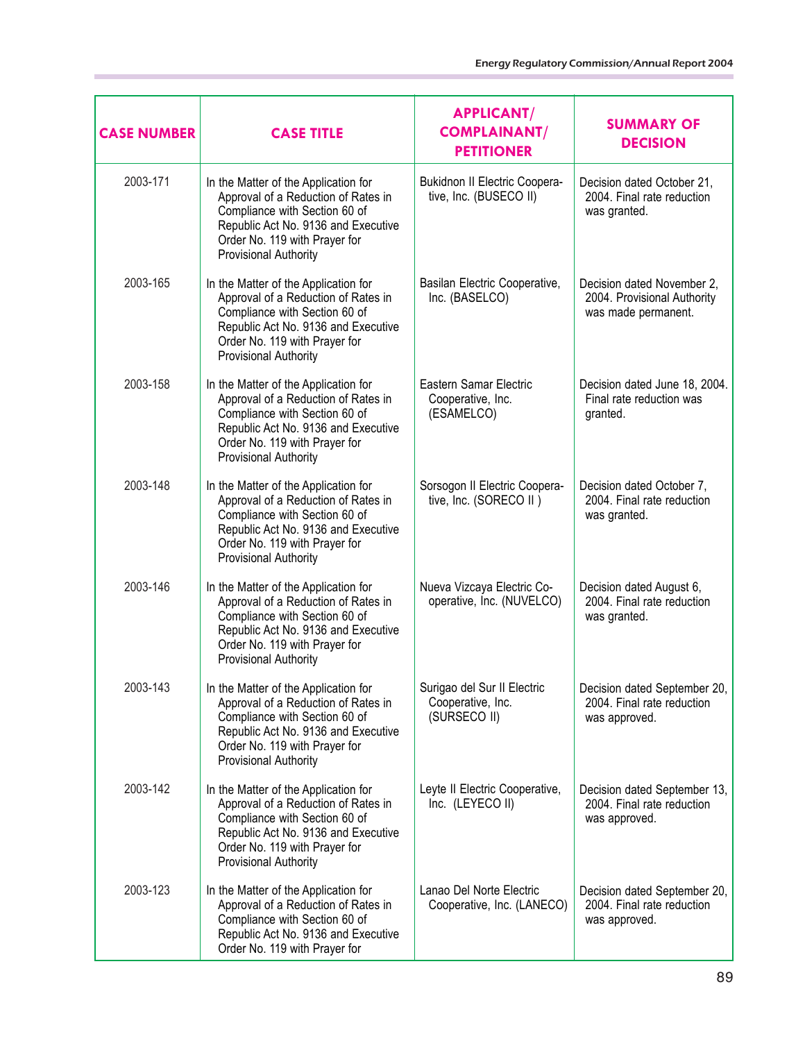| <b>CASE NUMBER</b> | <b>CASE TITLE</b>                                                                                                                                                                                                    | <b>APPLICANT/</b><br><b>COMPLAINANT/</b><br><b>PETITIONER</b>    | <b>SUMMARY OF</b><br><b>DECISION</b>                                             |
|--------------------|----------------------------------------------------------------------------------------------------------------------------------------------------------------------------------------------------------------------|------------------------------------------------------------------|----------------------------------------------------------------------------------|
| 2003-171           | In the Matter of the Application for<br>Approval of a Reduction of Rates in<br>Compliance with Section 60 of<br>Republic Act No. 9136 and Executive<br>Order No. 119 with Prayer for<br><b>Provisional Authority</b> | <b>Bukidnon II Electric Coopera-</b><br>tive, Inc. (BUSECO II)   | Decision dated October 21,<br>2004. Final rate reduction<br>was granted.         |
| 2003-165           | In the Matter of the Application for<br>Approval of a Reduction of Rates in<br>Compliance with Section 60 of<br>Republic Act No. 9136 and Executive<br>Order No. 119 with Prayer for<br>Provisional Authority        | Basilan Electric Cooperative,<br>Inc. (BASELCO)                  | Decision dated November 2,<br>2004. Provisional Authority<br>was made permanent. |
| 2003-158           | In the Matter of the Application for<br>Approval of a Reduction of Rates in<br>Compliance with Section 60 of<br>Republic Act No. 9136 and Executive<br>Order No. 119 with Prayer for<br><b>Provisional Authority</b> | Eastern Samar Electric<br>Cooperative, Inc.<br>(ESAMELCO)        | Decision dated June 18, 2004.<br>Final rate reduction was<br>granted.            |
| 2003-148           | In the Matter of the Application for<br>Approval of a Reduction of Rates in<br>Compliance with Section 60 of<br>Republic Act No. 9136 and Executive<br>Order No. 119 with Prayer for<br>Provisional Authority        | Sorsogon II Electric Coopera-<br>tive, Inc. (SORECO II)          | Decision dated October 7,<br>2004. Final rate reduction<br>was granted.          |
| 2003-146           | In the Matter of the Application for<br>Approval of a Reduction of Rates in<br>Compliance with Section 60 of<br>Republic Act No. 9136 and Executive<br>Order No. 119 with Prayer for<br><b>Provisional Authority</b> | Nueva Vizcaya Electric Co-<br>operative, Inc. (NUVELCO)          | Decision dated August 6,<br>2004. Final rate reduction<br>was granted.           |
| 2003-143           | In the Matter of the Application for<br>Approval of a Reduction of Rates in<br>Compliance with Section 60 of<br>Republic Act No. 9136 and Executive<br>Order No. 119 with Prayer for<br><b>Provisional Authority</b> | Surigao del Sur II Electric<br>Cooperative, Inc.<br>(SURSECO II) | Decision dated September 20,<br>2004. Final rate reduction<br>was approved.      |
| 2003-142           | In the Matter of the Application for<br>Approval of a Reduction of Rates in<br>Compliance with Section 60 of<br>Republic Act No. 9136 and Executive<br>Order No. 119 with Prayer for<br><b>Provisional Authority</b> | Leyte II Electric Cooperative,<br>Inc. (LEYECO II)               | Decision dated September 13,<br>2004. Final rate reduction<br>was approved.      |
| 2003-123           | In the Matter of the Application for<br>Approval of a Reduction of Rates in<br>Compliance with Section 60 of<br>Republic Act No. 9136 and Executive<br>Order No. 119 with Prayer for                                 | Lanao Del Norte Electric<br>Cooperative, Inc. (LANECO)           | Decision dated September 20,<br>2004. Final rate reduction<br>was approved.      |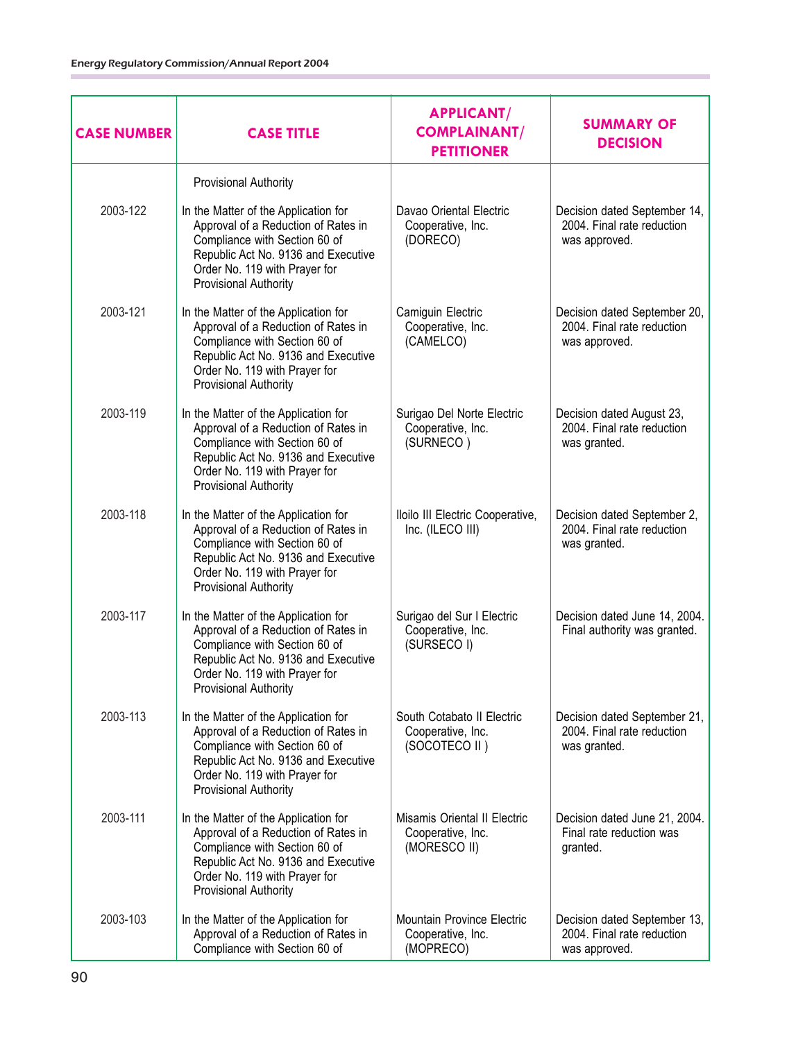| <b>CASE NUMBER</b> | <b>CASE TITLE</b>                                                                                                                                                                                                    | <b>APPLICANT/</b><br><b>COMPLAINANT/</b><br><b>PETITIONER</b>       | <b>SUMMARY OF</b><br><b>DECISION</b>                                        |
|--------------------|----------------------------------------------------------------------------------------------------------------------------------------------------------------------------------------------------------------------|---------------------------------------------------------------------|-----------------------------------------------------------------------------|
|                    | Provisional Authority                                                                                                                                                                                                |                                                                     |                                                                             |
| 2003-122           | In the Matter of the Application for<br>Approval of a Reduction of Rates in<br>Compliance with Section 60 of<br>Republic Act No. 9136 and Executive<br>Order No. 119 with Prayer for<br>Provisional Authority        | Davao Oriental Electric<br>Cooperative, Inc.<br>(DORECO)            | Decision dated September 14,<br>2004. Final rate reduction<br>was approved. |
| 2003-121           | In the Matter of the Application for<br>Approval of a Reduction of Rates in<br>Compliance with Section 60 of<br>Republic Act No. 9136 and Executive<br>Order No. 119 with Prayer for<br><b>Provisional Authority</b> | Camiguin Electric<br>Cooperative, Inc.<br>(CAMELCO)                 | Decision dated September 20,<br>2004. Final rate reduction<br>was approved. |
| 2003-119           | In the Matter of the Application for<br>Approval of a Reduction of Rates in<br>Compliance with Section 60 of<br>Republic Act No. 9136 and Executive<br>Order No. 119 with Prayer for<br><b>Provisional Authority</b> | Surigao Del Norte Electric<br>Cooperative, Inc.<br>(SURNECO)        | Decision dated August 23,<br>2004. Final rate reduction<br>was granted.     |
| 2003-118           | In the Matter of the Application for<br>Approval of a Reduction of Rates in<br>Compliance with Section 60 of<br>Republic Act No. 9136 and Executive<br>Order No. 119 with Prayer for<br>Provisional Authority        | Iloilo III Electric Cooperative,<br>Inc. (ILECO III)                | Decision dated September 2,<br>2004. Final rate reduction<br>was granted.   |
| 2003-117           | In the Matter of the Application for<br>Approval of a Reduction of Rates in<br>Compliance with Section 60 of<br>Republic Act No. 9136 and Executive<br>Order No. 119 with Prayer for<br><b>Provisional Authority</b> | Surigao del Sur I Electric<br>Cooperative, Inc.<br>(SURSECO I)      | Decision dated June 14, 2004.<br>Final authority was granted.               |
| 2003-113           | In the Matter of the Application for<br>Approval of a Reduction of Rates in<br>Compliance with Section 60 of<br>Republic Act No. 9136 and Executive<br>Order No. 119 with Prayer for<br><b>Provisional Authority</b> | South Cotabato II Electric<br>Cooperative, Inc.<br>(SOCOTECO II)    | Decision dated September 21,<br>2004. Final rate reduction<br>was granted.  |
| 2003-111           | In the Matter of the Application for<br>Approval of a Reduction of Rates in<br>Compliance with Section 60 of<br>Republic Act No. 9136 and Executive<br>Order No. 119 with Prayer for<br><b>Provisional Authority</b> | Misamis Oriental II Electric<br>Cooperative, Inc.<br>(MORESCO II)   | Decision dated June 21, 2004.<br>Final rate reduction was<br>granted.       |
| 2003-103           | In the Matter of the Application for<br>Approval of a Reduction of Rates in<br>Compliance with Section 60 of                                                                                                         | <b>Mountain Province Electric</b><br>Cooperative, Inc.<br>(MOPRECO) | Decision dated September 13,<br>2004. Final rate reduction<br>was approved. |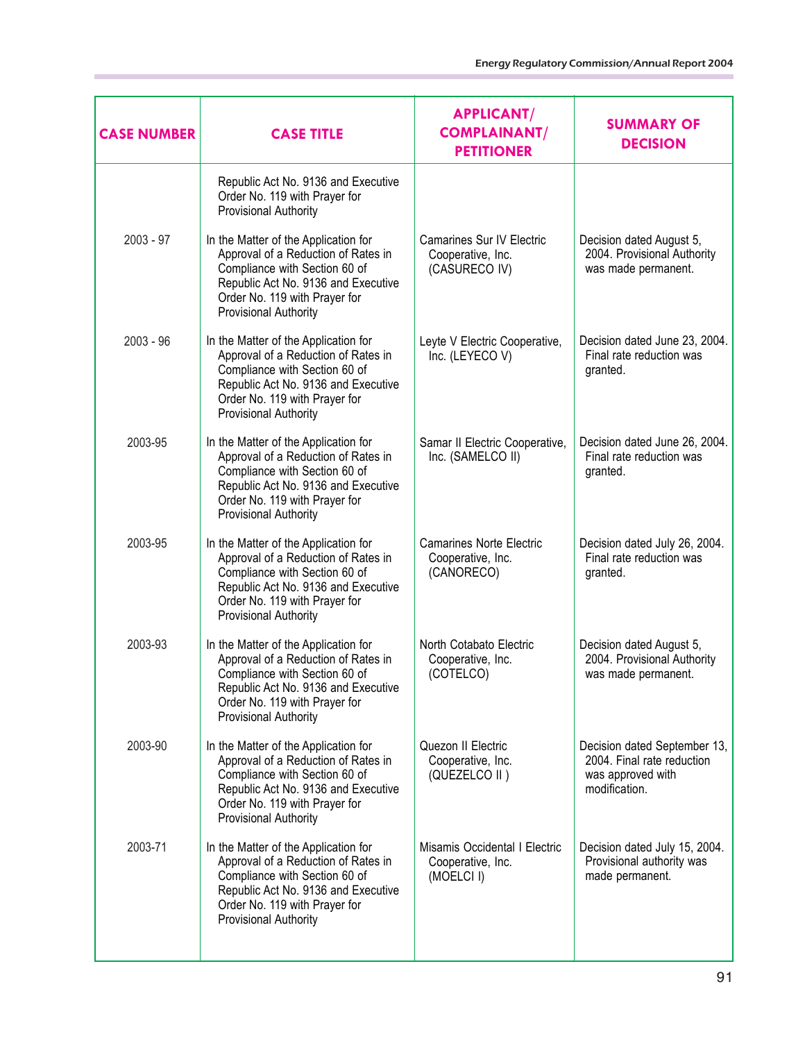| <b>CASE NUMBER</b> | <b>CASE TITLE</b>                                                                                                                                                                                                    | <b>APPLICANT/</b><br><b>COMPLAINANT/</b><br><b>PETITIONER</b>      | <b>SUMMARY OF</b><br><b>DECISION</b>                                                             |
|--------------------|----------------------------------------------------------------------------------------------------------------------------------------------------------------------------------------------------------------------|--------------------------------------------------------------------|--------------------------------------------------------------------------------------------------|
|                    | Republic Act No. 9136 and Executive<br>Order No. 119 with Prayer for<br>Provisional Authority                                                                                                                        |                                                                    |                                                                                                  |
| $2003 - 97$        | In the Matter of the Application for<br>Approval of a Reduction of Rates in<br>Compliance with Section 60 of<br>Republic Act No. 9136 and Executive<br>Order No. 119 with Prayer for<br>Provisional Authority        | Camarines Sur IV Electric<br>Cooperative, Inc.<br>(CASURECO IV)    | Decision dated August 5,<br>2004. Provisional Authority<br>was made permanent.                   |
| $2003 - 96$        | In the Matter of the Application for<br>Approval of a Reduction of Rates in<br>Compliance with Section 60 of<br>Republic Act No. 9136 and Executive<br>Order No. 119 with Prayer for<br>Provisional Authority        | Leyte V Electric Cooperative,<br>Inc. (LEYECO V)                   | Decision dated June 23, 2004.<br>Final rate reduction was<br>granted.                            |
| 2003-95            | In the Matter of the Application for<br>Approval of a Reduction of Rates in<br>Compliance with Section 60 of<br>Republic Act No. 9136 and Executive<br>Order No. 119 with Prayer for<br>Provisional Authority        | Samar II Electric Cooperative,<br>Inc. (SAMELCO II)                | Decision dated June 26, 2004.<br>Final rate reduction was<br>granted.                            |
| 2003-95            | In the Matter of the Application for<br>Approval of a Reduction of Rates in<br>Compliance with Section 60 of<br>Republic Act No. 9136 and Executive<br>Order No. 119 with Prayer for<br>Provisional Authority        | <b>Camarines Norte Electric</b><br>Cooperative, Inc.<br>(CANORECO) | Decision dated July 26, 2004.<br>Final rate reduction was<br>granted.                            |
| 2003-93            | In the Matter of the Application for<br>Approval of a Reduction of Rates in<br>Compliance with Section 60 of<br>Republic Act No. 9136 and Executive<br>Order No. 119 with Prayer for<br>Provisional Authority        | North Cotabato Electric<br>Cooperative, Inc.<br>(COTELCO)          | Decision dated August 5,<br>2004. Provisional Authority<br>was made permanent.                   |
| 2003-90            | In the Matter of the Application for<br>Approval of a Reduction of Rates in<br>Compliance with Section 60 of<br>Republic Act No. 9136 and Executive<br>Order No. 119 with Prayer for<br>Provisional Authority        | Quezon II Electric<br>Cooperative, Inc.<br>(QUEZELCO II)           | Decision dated September 13,<br>2004. Final rate reduction<br>was approved with<br>modification. |
| 2003-71            | In the Matter of the Application for<br>Approval of a Reduction of Rates in<br>Compliance with Section 60 of<br>Republic Act No. 9136 and Executive<br>Order No. 119 with Prayer for<br><b>Provisional Authority</b> | Misamis Occidental I Electric<br>Cooperative, Inc.<br>(MOELCI I)   | Decision dated July 15, 2004.<br>Provisional authority was<br>made permanent.                    |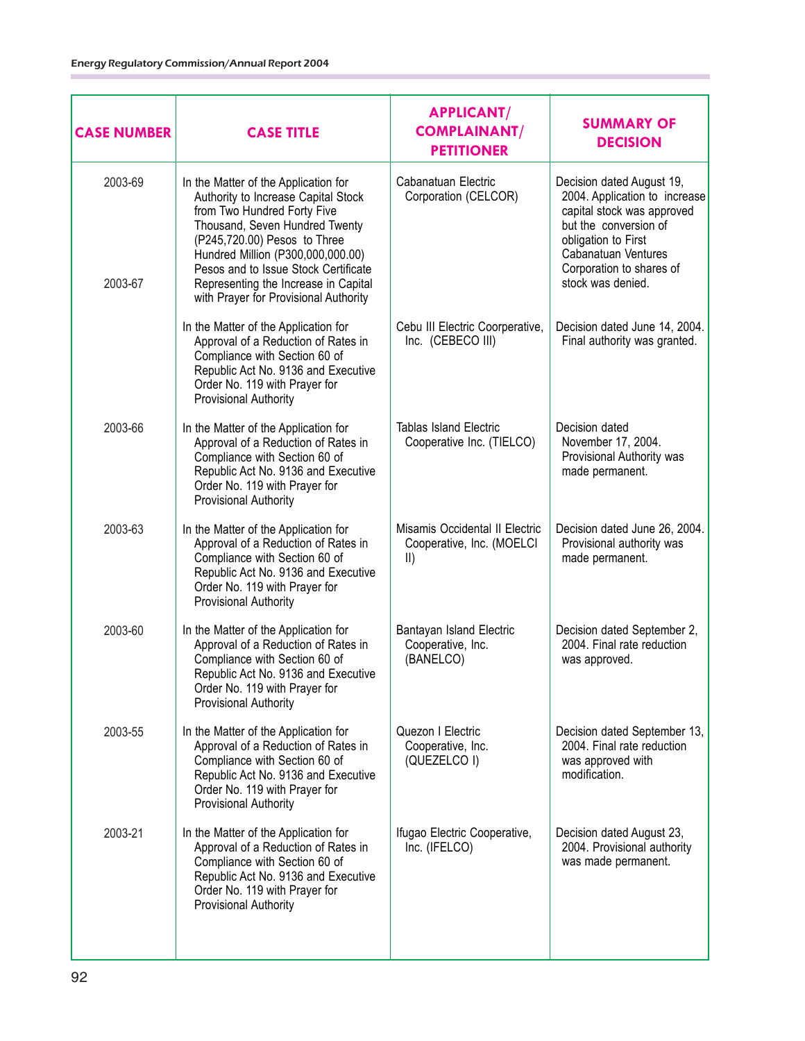| <b>CASE NUMBER</b> | <b>CASE TITLE</b>                                                                                                                                                                                                                                                                                                                          | <b>APPLICANT/</b><br><b>COMPLAINANT/</b><br><b>PETITIONER</b>                | <b>SUMMARY OF</b><br><b>DECISION</b>                                                                                                                                                                             |
|--------------------|--------------------------------------------------------------------------------------------------------------------------------------------------------------------------------------------------------------------------------------------------------------------------------------------------------------------------------------------|------------------------------------------------------------------------------|------------------------------------------------------------------------------------------------------------------------------------------------------------------------------------------------------------------|
| 2003-69<br>2003-67 | In the Matter of the Application for<br>Authority to Increase Capital Stock<br>from Two Hundred Forty Five<br>Thousand, Seven Hundred Twenty<br>(P245,720.00) Pesos to Three<br>Hundred Million (P300,000,000.00)<br>Pesos and to Issue Stock Certificate<br>Representing the Increase in Capital<br>with Prayer for Provisional Authority | Cabanatuan Electric<br>Corporation (CELCOR)                                  | Decision dated August 19,<br>2004. Application to increase<br>capital stock was approved<br>but the conversion of<br>obligation to First<br>Cabanatuan Ventures<br>Corporation to shares of<br>stock was denied. |
|                    | In the Matter of the Application for<br>Approval of a Reduction of Rates in<br>Compliance with Section 60 of<br>Republic Act No. 9136 and Executive<br>Order No. 119 with Prayer for<br>Provisional Authority                                                                                                                              | Cebu III Electric Coorperative,<br>Inc. (CEBECO III)                         | Decision dated June 14, 2004.<br>Final authority was granted.                                                                                                                                                    |
| 2003-66            | In the Matter of the Application for<br>Approval of a Reduction of Rates in<br>Compliance with Section 60 of<br>Republic Act No. 9136 and Executive<br>Order No. 119 with Prayer for<br>Provisional Authority                                                                                                                              | <b>Tablas Island Electric</b><br>Cooperative Inc. (TIELCO)                   | Decision dated<br>November 17, 2004.<br>Provisional Authority was<br>made permanent.                                                                                                                             |
| 2003-63            | In the Matter of the Application for<br>Approval of a Reduction of Rates in<br>Compliance with Section 60 of<br>Republic Act No. 9136 and Executive<br>Order No. 119 with Prayer for<br>Provisional Authority                                                                                                                              | Misamis Occidental II Electric<br>Cooperative, Inc. (MOELCI<br>$\vert \vert$ | Decision dated June 26, 2004.<br>Provisional authority was<br>made permanent.                                                                                                                                    |
| 2003-60            | In the Matter of the Application for<br>Approval of a Reduction of Rates in<br>Compliance with Section 60 of<br>Republic Act No. 9136 and Executive<br>Order No. 119 with Prayer for<br><b>Provisional Authority</b>                                                                                                                       | Bantayan Island Electric<br>Cooperative, Inc.<br>(BANELCO)                   | Decision dated September 2,<br>2004. Final rate reduction<br>was approved.                                                                                                                                       |
| 2003-55            | In the Matter of the Application for<br>Approval of a Reduction of Rates in<br>Compliance with Section 60 of<br>Republic Act No. 9136 and Executive<br>Order No. 119 with Prayer for<br>Provisional Authority                                                                                                                              | Quezon I Electric<br>Cooperative, Inc.<br>(QUEZELCO I)                       | Decision dated September 13,<br>2004. Final rate reduction<br>was approved with<br>modification.                                                                                                                 |
| 2003-21            | In the Matter of the Application for<br>Approval of a Reduction of Rates in<br>Compliance with Section 60 of<br>Republic Act No. 9136 and Executive<br>Order No. 119 with Prayer for<br>Provisional Authority                                                                                                                              | Ifugao Electric Cooperative,<br>Inc. (IFELCO)                                | Decision dated August 23,<br>2004. Provisional authority<br>was made permanent.                                                                                                                                  |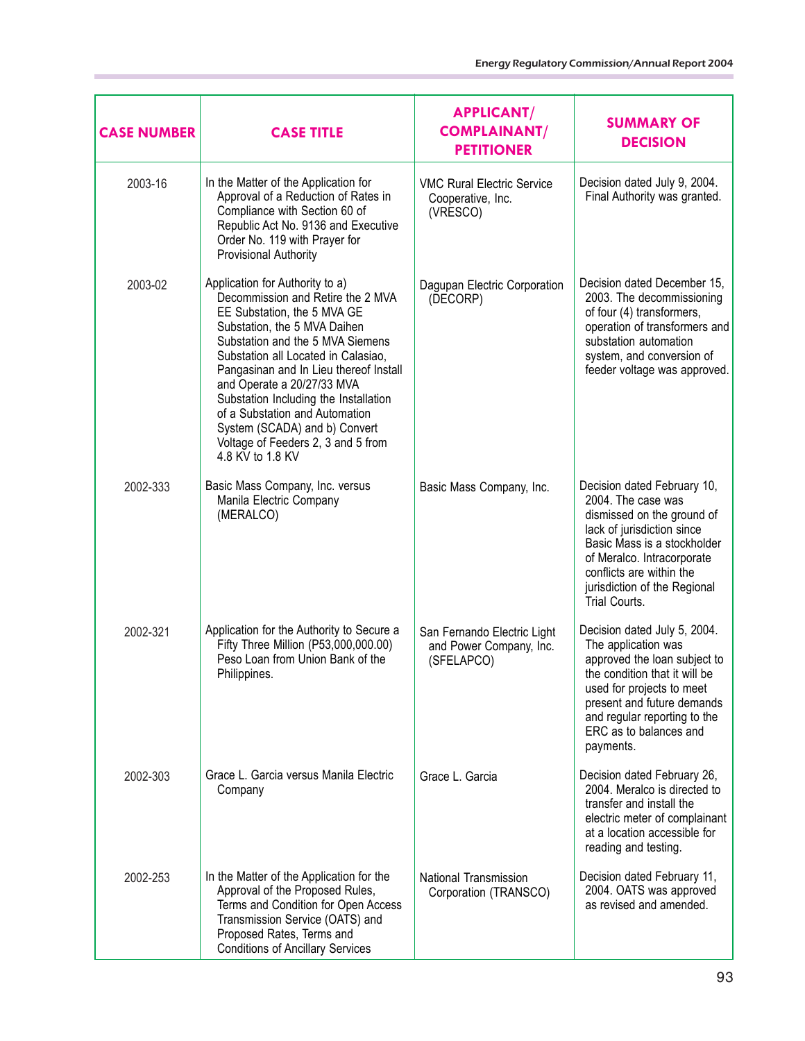| <b>CASE NUMBER</b> | <b>CASE TITLE</b>                                                                                                                                                                                                                                                                                                                                                                                                                                            | <b>APPLICANT/</b><br><b>COMPLAINANT/</b><br><b>PETITIONER</b>        | <b>SUMMARY OF</b><br><b>DECISION</b>                                                                                                                                                                                                                    |
|--------------------|--------------------------------------------------------------------------------------------------------------------------------------------------------------------------------------------------------------------------------------------------------------------------------------------------------------------------------------------------------------------------------------------------------------------------------------------------------------|----------------------------------------------------------------------|---------------------------------------------------------------------------------------------------------------------------------------------------------------------------------------------------------------------------------------------------------|
| 2003-16            | In the Matter of the Application for<br>Approval of a Reduction of Rates in<br>Compliance with Section 60 of<br>Republic Act No. 9136 and Executive<br>Order No. 119 with Prayer for<br>Provisional Authority                                                                                                                                                                                                                                                | <b>VMC Rural Electric Service</b><br>Cooperative, Inc.<br>(VRESCO)   | Decision dated July 9, 2004.<br>Final Authority was granted.                                                                                                                                                                                            |
| 2003-02            | Application for Authority to a)<br>Decommission and Retire the 2 MVA<br>EE Substation, the 5 MVA GE<br>Substation, the 5 MVA Daihen<br>Substation and the 5 MVA Siemens<br>Substation all Located in Calasiao,<br>Pangasinan and In Lieu thereof Install<br>and Operate a 20/27/33 MVA<br>Substation Including the Installation<br>of a Substation and Automation<br>System (SCADA) and b) Convert<br>Voltage of Feeders 2, 3 and 5 from<br>4.8 KV to 1.8 KV | Dagupan Electric Corporation<br>(DECORP)                             | Decision dated December 15,<br>2003. The decommissioning<br>of four (4) transformers,<br>operation of transformers and<br>substation automation<br>system, and conversion of<br>feeder voltage was approved.                                            |
| 2002-333           | Basic Mass Company, Inc. versus<br>Manila Electric Company<br>(MERALCO)                                                                                                                                                                                                                                                                                                                                                                                      | Basic Mass Company, Inc.                                             | Decision dated February 10,<br>2004. The case was<br>dismissed on the ground of<br>lack of jurisdiction since<br>Basic Mass is a stockholder<br>of Meralco. Intracorporate<br>conflicts are within the<br>jurisdiction of the Regional<br>Trial Courts. |
| 2002-321           | Application for the Authority to Secure a<br>Fifty Three Million (P53,000,000.00)<br>Peso Loan from Union Bank of the<br>Philippines.                                                                                                                                                                                                                                                                                                                        | San Fernando Electric Light<br>and Power Company, Inc.<br>(SFELAPCO) | Decision dated July 5, 2004.<br>The application was<br>approved the loan subject to<br>the condition that it will be<br>used for projects to meet<br>present and future demands<br>and regular reporting to the<br>ERC as to balances and<br>payments.  |
| 2002-303           | Grace L. Garcia versus Manila Electric<br>Company                                                                                                                                                                                                                                                                                                                                                                                                            | Grace L. Garcia                                                      | Decision dated February 26,<br>2004. Meralco is directed to<br>transfer and install the<br>electric meter of complainant<br>at a location accessible for<br>reading and testing.                                                                        |
| 2002-253           | In the Matter of the Application for the<br>Approval of the Proposed Rules,<br>Terms and Condition for Open Access<br>Transmission Service (OATS) and<br>Proposed Rates, Terms and<br><b>Conditions of Ancillary Services</b>                                                                                                                                                                                                                                | National Transmission<br>Corporation (TRANSCO)                       | Decision dated February 11,<br>2004. OATS was approved<br>as revised and amended.                                                                                                                                                                       |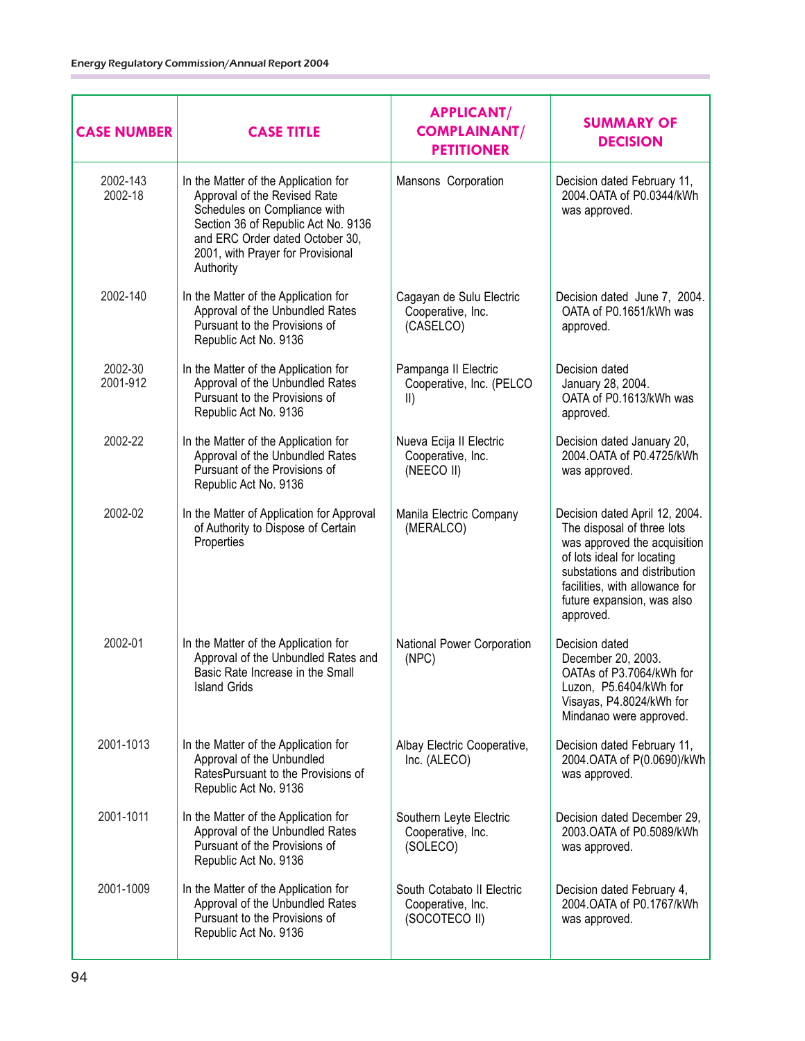| <b>CASE NUMBER</b>  | <b>CASE TITLE</b>                                                                                                                                                                                                                | <b>APPLICANT/</b><br><b>COMPLAINANT/</b><br><b>PETITIONER</b>     | <b>SUMMARY OF</b><br><b>DECISION</b>                                                                                                                                                                                                    |
|---------------------|----------------------------------------------------------------------------------------------------------------------------------------------------------------------------------------------------------------------------------|-------------------------------------------------------------------|-----------------------------------------------------------------------------------------------------------------------------------------------------------------------------------------------------------------------------------------|
| 2002-143<br>2002-18 | In the Matter of the Application for<br>Approval of the Revised Rate<br>Schedules on Compliance with<br>Section 36 of Republic Act No. 9136<br>and ERC Order dated October 30,<br>2001, with Prayer for Provisional<br>Authority | Mansons Corporation                                               | Decision dated February 11,<br>2004. OATA of P0.0344/kWh<br>was approved.                                                                                                                                                               |
| 2002-140            | In the Matter of the Application for<br>Approval of the Unbundled Rates<br>Pursuant to the Provisions of<br>Republic Act No. 9136                                                                                                | Cagayan de Sulu Electric<br>Cooperative, Inc.<br>(CASELCO)        | Decision dated June 7, 2004.<br>OATA of P0.1651/kWh was<br>approved.                                                                                                                                                                    |
| 2002-30<br>2001-912 | In the Matter of the Application for<br>Approval of the Unbundled Rates<br>Pursuant to the Provisions of<br>Republic Act No. 9136                                                                                                | Pampanga II Electric<br>Cooperative, Inc. (PELCO<br>$\vert \vert$ | Decision dated<br>January 28, 2004.<br>OATA of P0.1613/kWh was<br>approved.                                                                                                                                                             |
| 2002-22             | In the Matter of the Application for<br>Approval of the Unbundled Rates<br>Pursuant of the Provisions of<br>Republic Act No. 9136                                                                                                | Nueva Ecija II Electric<br>Cooperative, Inc.<br>(NEECO II)        | Decision dated January 20,<br>2004. OATA of P0.4725/kWh<br>was approved.                                                                                                                                                                |
| 2002-02             | In the Matter of Application for Approval<br>of Authority to Dispose of Certain<br>Properties                                                                                                                                    | Manila Electric Company<br>(MERALCO)                              | Decision dated April 12, 2004.<br>The disposal of three lots<br>was approved the acquisition<br>of lots ideal for locating<br>substations and distribution<br>facilities, with allowance for<br>future expansion, was also<br>approved. |
| 2002-01             | In the Matter of the Application for<br>Approval of the Unbundled Rates and<br>Basic Rate Increase in the Small<br><b>Island Grids</b>                                                                                           | National Power Corporation<br>(NPC)                               | Decision dated<br>December 20, 2003.<br>OATAs of P3.7064/kWh for<br>Luzon, P5.6404/kWh for<br>Visayas, P4.8024/kWh for<br>Mindanao were approved.                                                                                       |
| 2001-1013           | In the Matter of the Application for<br>Approval of the Unbundled<br>RatesPursuant to the Provisions of<br>Republic Act No. 9136                                                                                                 | Albay Electric Cooperative,<br>Inc. (ALECO)                       | Decision dated February 11,<br>2004.OATA of P(0.0690)/kWh<br>was approved.                                                                                                                                                              |
| 2001-1011           | In the Matter of the Application for<br>Approval of the Unbundled Rates<br>Pursuant of the Provisions of<br>Republic Act No. 9136                                                                                                | Southern Leyte Electric<br>Cooperative, Inc.<br>(SOLECO)          | Decision dated December 29,<br>2003.OATA of P0.5089/kWh<br>was approved.                                                                                                                                                                |
| 2001-1009           | In the Matter of the Application for<br>Approval of the Unbundled Rates<br>Pursuant to the Provisions of<br>Republic Act No. 9136                                                                                                | South Cotabato II Electric<br>Cooperative, Inc.<br>(SOCOTECO II)  | Decision dated February 4,<br>2004.OATA of P0.1767/kWh<br>was approved.                                                                                                                                                                 |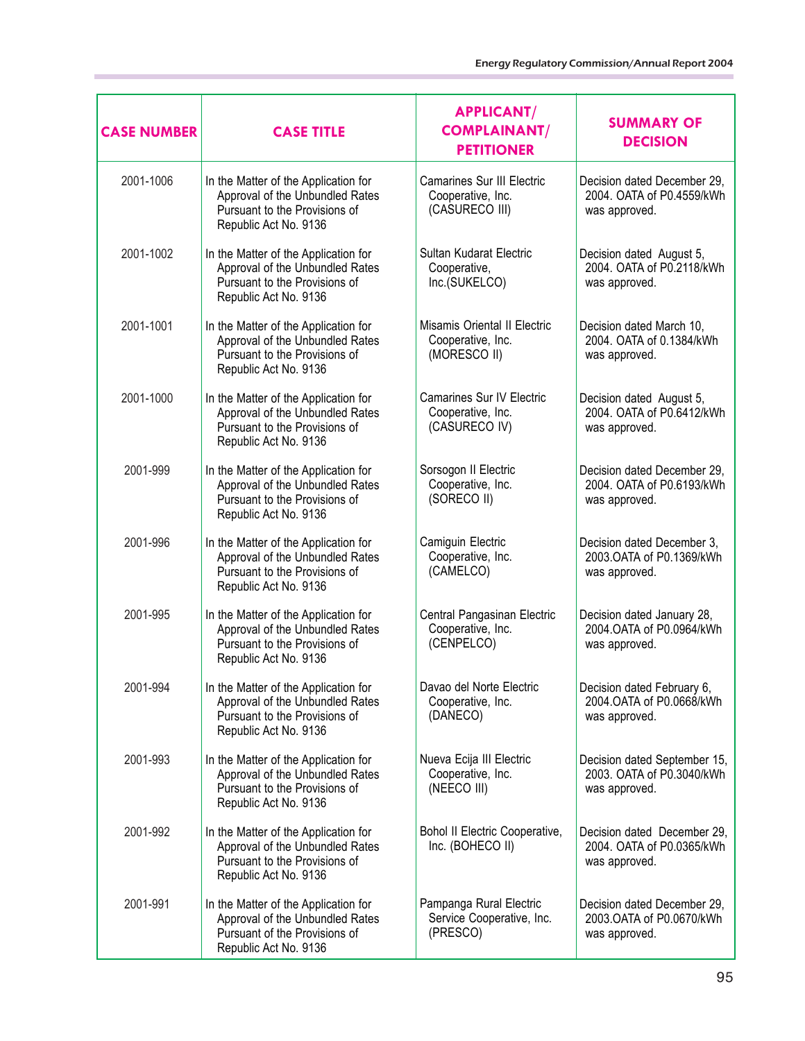| <b>CASE NUMBER</b> | <b>CASE TITLE</b>                                                                                                                 | <b>APPLICANT/</b><br><b>COMPLAINANT/</b><br><b>PETITIONER</b>            | <b>SUMMARY OF</b><br><b>DECISION</b>                                       |
|--------------------|-----------------------------------------------------------------------------------------------------------------------------------|--------------------------------------------------------------------------|----------------------------------------------------------------------------|
| 2001-1006          | In the Matter of the Application for<br>Approval of the Unbundled Rates<br>Pursuant to the Provisions of<br>Republic Act No. 9136 | <b>Camarines Sur III Electric</b><br>Cooperative, Inc.<br>(CASURECO III) | Decision dated December 29,<br>2004. OATA of P0.4559/kWh<br>was approved.  |
| 2001-1002          | In the Matter of the Application for<br>Approval of the Unbundled Rates<br>Pursuant to the Provisions of<br>Republic Act No. 9136 | Sultan Kudarat Electric<br>Cooperative,<br>Inc.(SUKELCO)                 | Decision dated August 5,<br>2004. OATA of P0.2118/kWh<br>was approved.     |
| 2001-1001          | In the Matter of the Application for<br>Approval of the Unbundled Rates<br>Pursuant to the Provisions of<br>Republic Act No. 9136 | Misamis Oriental II Electric<br>Cooperative, Inc.<br>(MORESCO II)        | Decision dated March 10,<br>2004. OATA of 0.1384/kWh<br>was approved.      |
| 2001-1000          | In the Matter of the Application for<br>Approval of the Unbundled Rates<br>Pursuant to the Provisions of<br>Republic Act No. 9136 | <b>Camarines Sur IV Electric</b><br>Cooperative, Inc.<br>(CASURECO IV)   | Decision dated August 5,<br>2004. OATA of P0.6412/kWh<br>was approved.     |
| 2001-999           | In the Matter of the Application for<br>Approval of the Unbundled Rates<br>Pursuant to the Provisions of<br>Republic Act No. 9136 | Sorsogon II Electric<br>Cooperative, Inc.<br>(SORECO II)                 | Decision dated December 29,<br>2004. OATA of P0.6193/kWh<br>was approved.  |
| 2001-996           | In the Matter of the Application for<br>Approval of the Unbundled Rates<br>Pursuant to the Provisions of<br>Republic Act No. 9136 | Camiguin Electric<br>Cooperative, Inc.<br>(CAMELCO)                      | Decision dated December 3,<br>2003. OATA of P0.1369/kWh<br>was approved.   |
| 2001-995           | In the Matter of the Application for<br>Approval of the Unbundled Rates<br>Pursuant to the Provisions of<br>Republic Act No. 9136 | Central Pangasinan Electric<br>Cooperative, Inc.<br>(CENPELCO)           | Decision dated January 28,<br>2004. OATA of P0.0964/kWh<br>was approved.   |
| 2001-994           | In the Matter of the Application for<br>Approval of the Unbundled Rates<br>Pursuant to the Provisions of<br>Republic Act No. 9136 | Davao del Norte Electric<br>Cooperative, Inc.<br>(DANECO)                | Decision dated February 6,<br>2004.OATA of P0.0668/kWh<br>was approved.    |
| 2001-993           | In the Matter of the Application for<br>Approval of the Unbundled Rates<br>Pursuant to the Provisions of<br>Republic Act No. 9136 | Nueva Ecija III Electric<br>Cooperative, Inc.<br>(NEECO III)             | Decision dated September 15,<br>2003. OATA of P0.3040/kWh<br>was approved. |
| 2001-992           | In the Matter of the Application for<br>Approval of the Unbundled Rates<br>Pursuant to the Provisions of<br>Republic Act No. 9136 | Bohol II Electric Cooperative,<br>Inc. (BOHECO II)                       | Decision dated December 29,<br>2004. OATA of P0.0365/kWh<br>was approved.  |
| 2001-991           | In the Matter of the Application for<br>Approval of the Unbundled Rates<br>Pursuant of the Provisions of<br>Republic Act No. 9136 | Pampanga Rural Electric<br>Service Cooperative, Inc.<br>(PRESCO)         | Decision dated December 29,<br>2003.OATA of P0.0670/kWh<br>was approved.   |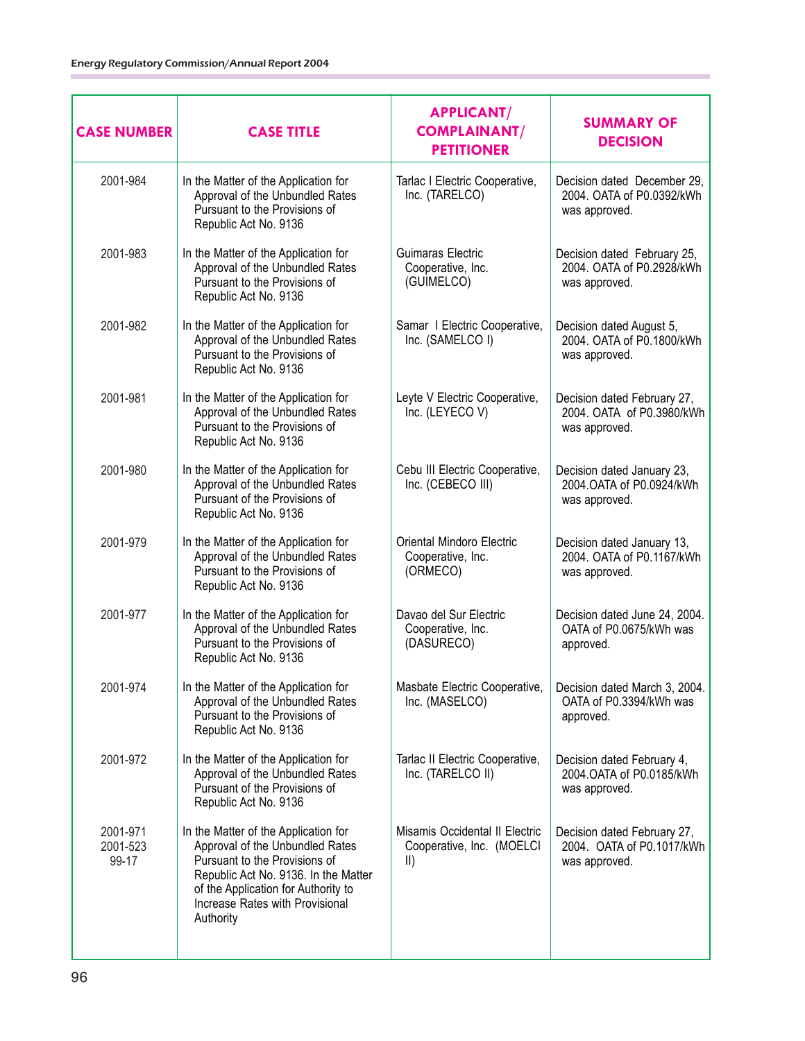| <b>CASE NUMBER</b>            | <b>CASE TITLE</b>                                                                                                                                                                                                                       | <b>APPLICANT/</b><br><b>COMPLAINANT/</b><br><b>PETITIONER</b>                | <b>SUMMARY OF</b><br><b>DECISION</b>                                      |
|-------------------------------|-----------------------------------------------------------------------------------------------------------------------------------------------------------------------------------------------------------------------------------------|------------------------------------------------------------------------------|---------------------------------------------------------------------------|
| 2001-984                      | In the Matter of the Application for<br>Approval of the Unbundled Rates<br>Pursuant to the Provisions of<br>Republic Act No. 9136                                                                                                       | Tarlac I Electric Cooperative,<br>Inc. (TARELCO)                             | Decision dated December 29,<br>2004. OATA of P0.0392/kWh<br>was approved. |
| 2001-983                      | In the Matter of the Application for<br>Approval of the Unbundled Rates<br>Pursuant to the Provisions of<br>Republic Act No. 9136                                                                                                       | Guimaras Electric<br>Cooperative, Inc.<br>(GUIMELCO)                         | Decision dated February 25,<br>2004. OATA of P0.2928/kWh<br>was approved. |
| 2001-982                      | In the Matter of the Application for<br>Approval of the Unbundled Rates<br>Pursuant to the Provisions of<br>Republic Act No. 9136                                                                                                       | Samar I Electric Cooperative,<br>Inc. (SAMELCO I)                            | Decision dated August 5,<br>2004. OATA of P0.1800/kWh<br>was approved.    |
| 2001-981                      | In the Matter of the Application for<br>Approval of the Unbundled Rates<br>Pursuant to the Provisions of<br>Republic Act No. 9136                                                                                                       | Leyte V Electric Cooperative,<br>Inc. (LEYECO V)                             | Decision dated February 27,<br>2004. OATA of P0.3980/kWh<br>was approved. |
| 2001-980                      | In the Matter of the Application for<br>Approval of the Unbundled Rates<br>Pursuant of the Provisions of<br>Republic Act No. 9136                                                                                                       | Cebu III Electric Cooperative,<br>Inc. (CEBECO III)                          | Decision dated January 23,<br>2004.OATA of P0.0924/kWh<br>was approved.   |
| 2001-979                      | In the Matter of the Application for<br>Approval of the Unbundled Rates<br>Pursuant to the Provisions of<br>Republic Act No. 9136                                                                                                       | Oriental Mindoro Electric<br>Cooperative, Inc.<br>(ORMECO)                   | Decision dated January 13,<br>2004. OATA of P0.1167/kWh<br>was approved.  |
| 2001-977                      | In the Matter of the Application for<br>Approval of the Unbundled Rates<br>Pursuant to the Provisions of<br>Republic Act No. 9136                                                                                                       | Davao del Sur Electric<br>Cooperative, Inc.<br>(DASURECO)                    | Decision dated June 24, 2004.<br>OATA of P0.0675/kWh was<br>approved.     |
| 2001-974                      | In the Matter of the Application for<br>Approval of the Unbundled Rates<br>Pursuant to the Provisions of<br>Republic Act No. 9136                                                                                                       | Masbate Electric Cooperative,<br>Inc. (MASELCO)                              | Decision dated March 3, 2004.<br>OATA of P0.3394/kWh was<br>approved.     |
| 2001-972                      | In the Matter of the Application for<br>Approval of the Unbundled Rates<br>Pursuant of the Provisions of<br>Republic Act No. 9136                                                                                                       | Tarlac II Electric Cooperative,<br>Inc. (TARELCO II)                         | Decision dated February 4,<br>2004. OATA of P0.0185/kWh<br>was approved.  |
| 2001-971<br>2001-523<br>99-17 | In the Matter of the Application for<br>Approval of the Unbundled Rates<br>Pursuant to the Provisions of<br>Republic Act No. 9136. In the Matter<br>of the Application for Authority to<br>Increase Rates with Provisional<br>Authority | Misamis Occidental II Electric<br>Cooperative, Inc. (MOELCI<br>$\mathsf{II}$ | Decision dated February 27,<br>2004. OATA of P0.1017/kWh<br>was approved. |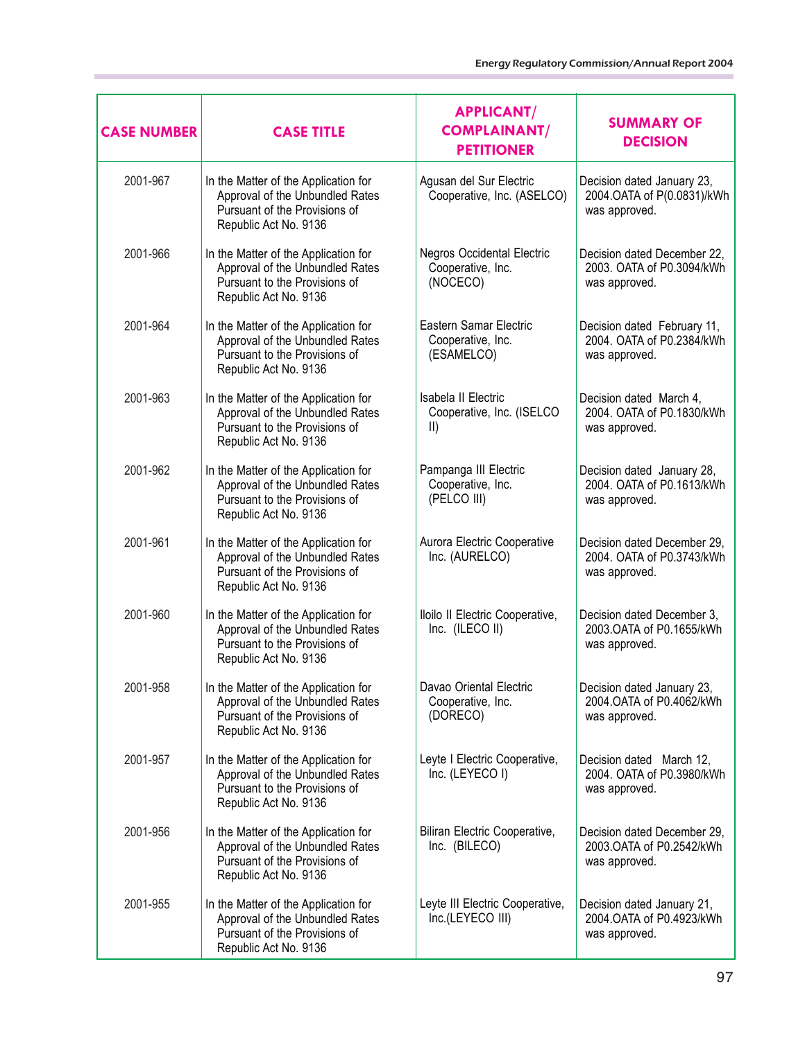| <b>CASE NUMBER</b> | <b>CASE TITLE</b>                                                                                                                 | <b>APPLICANT/</b><br><b>COMPLAINANT/</b><br><b>PETITIONER</b>     | <b>SUMMARY OF</b><br><b>DECISION</b>                                      |
|--------------------|-----------------------------------------------------------------------------------------------------------------------------------|-------------------------------------------------------------------|---------------------------------------------------------------------------|
| 2001-967           | In the Matter of the Application for<br>Approval of the Unbundled Rates<br>Pursuant of the Provisions of<br>Republic Act No. 9136 | Agusan del Sur Electric<br>Cooperative, Inc. (ASELCO)             | Decision dated January 23,<br>2004.OATA of P(0.0831)/kWh<br>was approved. |
| 2001-966           | In the Matter of the Application for<br>Approval of the Unbundled Rates<br>Pursuant to the Provisions of<br>Republic Act No. 9136 | Negros Occidental Electric<br>Cooperative, Inc.<br>(NOCECO)       | Decision dated December 22,<br>2003. OATA of P0.3094/kWh<br>was approved. |
| 2001-964           | In the Matter of the Application for<br>Approval of the Unbundled Rates<br>Pursuant to the Provisions of<br>Republic Act No. 9136 | Eastern Samar Electric<br>Cooperative, Inc.<br>(ESAMELCO)         | Decision dated February 11,<br>2004. OATA of P0.2384/kWh<br>was approved. |
| 2001-963           | In the Matter of the Application for<br>Approval of the Unbundled Rates<br>Pursuant to the Provisions of<br>Republic Act No. 9136 | Isabela II Electric<br>Cooperative, Inc. (ISELCO<br>$\vert \vert$ | Decision dated March 4,<br>2004. OATA of P0.1830/kWh<br>was approved.     |
| 2001-962           | In the Matter of the Application for<br>Approval of the Unbundled Rates<br>Pursuant to the Provisions of<br>Republic Act No. 9136 | Pampanga III Electric<br>Cooperative, Inc.<br>(PELCO III)         | Decision dated January 28,<br>2004. OATA of P0.1613/kWh<br>was approved.  |
| 2001-961           | In the Matter of the Application for<br>Approval of the Unbundled Rates<br>Pursuant of the Provisions of<br>Republic Act No. 9136 | Aurora Electric Cooperative<br>Inc. (AURELCO)                     | Decision dated December 29,<br>2004. OATA of P0.3743/kWh<br>was approved. |
| 2001-960           | In the Matter of the Application for<br>Approval of the Unbundled Rates<br>Pursuant to the Provisions of<br>Republic Act No. 9136 | Iloilo II Electric Cooperative,<br>Inc. (ILECO II)                | Decision dated December 3,<br>2003. OATA of P0.1655/kWh<br>was approved.  |
| 2001-958           | In the Matter of the Application for<br>Approval of the Unbundled Rates<br>Pursuant of the Provisions of<br>Republic Act No. 9136 | Davao Oriental Electric<br>Cooperative, Inc.<br>(DORECO)          | Decision dated January 23,<br>2004.OATA of P0.4062/kWh<br>was approved.   |
| 2001-957           | In the Matter of the Application for<br>Approval of the Unbundled Rates<br>Pursuant to the Provisions of<br>Republic Act No. 9136 | Leyte I Electric Cooperative,<br>Inc. (LEYECO I)                  | Decision dated March 12,<br>2004. OATA of P0.3980/kWh<br>was approved.    |
| 2001-956           | In the Matter of the Application for<br>Approval of the Unbundled Rates<br>Pursuant of the Provisions of<br>Republic Act No. 9136 | Biliran Electric Cooperative,<br>Inc. (BILECO)                    | Decision dated December 29,<br>2003.OATA of P0.2542/kWh<br>was approved.  |
| 2001-955           | In the Matter of the Application for<br>Approval of the Unbundled Rates<br>Pursuant of the Provisions of<br>Republic Act No. 9136 | Leyte III Electric Cooperative,<br>Inc.(LEYECO III)               | Decision dated January 21,<br>2004.OATA of P0.4923/kWh<br>was approved.   |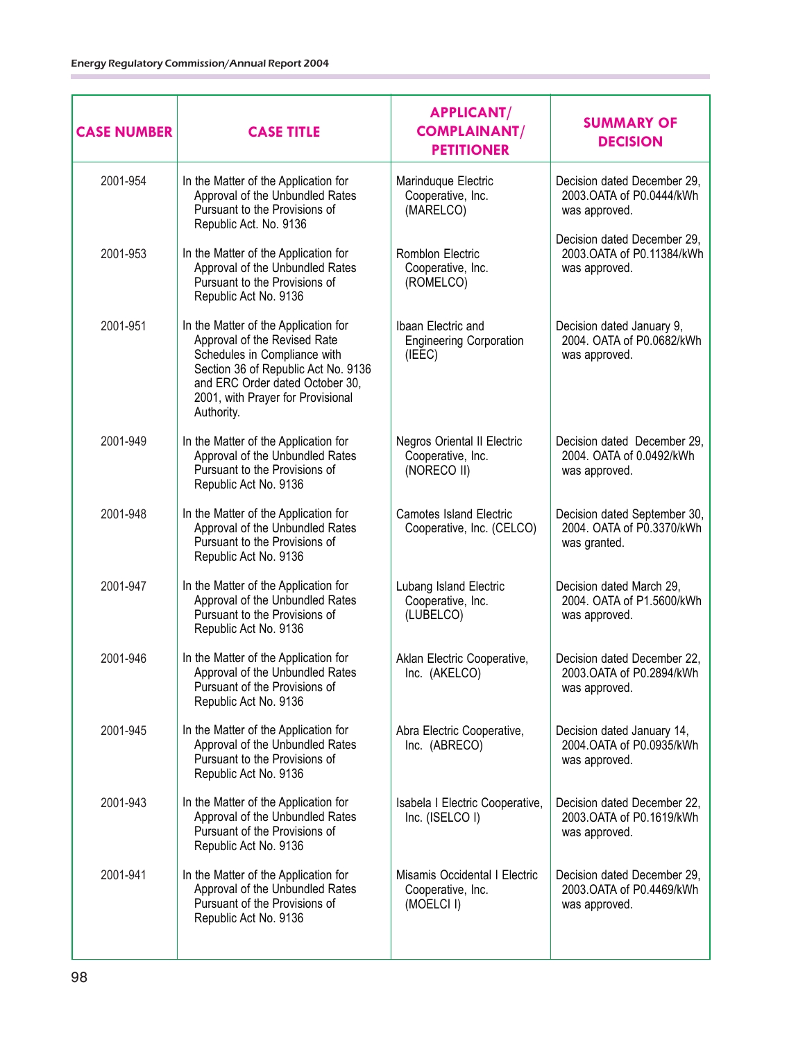| <b>CASE NUMBER</b> | <b>CASE TITLE</b>                                                                                                                                                                                                                 | <b>APPLICANT/</b><br><b>COMPLAINANT/</b><br><b>PETITIONER</b>    | <b>SUMMARY OF</b><br><b>DECISION</b>                                       |
|--------------------|-----------------------------------------------------------------------------------------------------------------------------------------------------------------------------------------------------------------------------------|------------------------------------------------------------------|----------------------------------------------------------------------------|
| 2001-954           | In the Matter of the Application for<br>Approval of the Unbundled Rates<br>Pursuant to the Provisions of<br>Republic Act. No. 9136                                                                                                | Marinduque Electric<br>Cooperative, Inc.<br>(MARELCO)            | Decision dated December 29,<br>2003. OATA of P0.0444/kWh<br>was approved.  |
| 2001-953           | In the Matter of the Application for<br>Approval of the Unbundled Rates<br>Pursuant to the Provisions of<br>Republic Act No. 9136                                                                                                 | Romblon Electric<br>Cooperative, Inc.<br>(ROMELCO)               | Decision dated December 29,<br>2003. OATA of P0.11384/kWh<br>was approved. |
| 2001-951           | In the Matter of the Application for<br>Approval of the Revised Rate<br>Schedules in Compliance with<br>Section 36 of Republic Act No. 9136<br>and ERC Order dated October 30,<br>2001, with Prayer for Provisional<br>Authority. | Ibaan Electric and<br><b>Engineering Corporation</b><br>(IEEE)   | Decision dated January 9,<br>2004. OATA of P0.0682/kWh<br>was approved.    |
| 2001-949           | In the Matter of the Application for<br>Approval of the Unbundled Rates<br>Pursuant to the Provisions of<br>Republic Act No. 9136                                                                                                 | Negros Oriental II Electric<br>Cooperative, Inc.<br>(NORECO II)  | Decision dated December 29,<br>2004. OATA of 0.0492/kWh<br>was approved.   |
| 2001-948           | In the Matter of the Application for<br>Approval of the Unbundled Rates<br>Pursuant to the Provisions of<br>Republic Act No. 9136                                                                                                 | <b>Camotes Island Electric</b><br>Cooperative, Inc. (CELCO)      | Decision dated September 30,<br>2004. OATA of P0.3370/kWh<br>was granted.  |
| 2001-947           | In the Matter of the Application for<br>Approval of the Unbundled Rates<br>Pursuant to the Provisions of<br>Republic Act No. 9136                                                                                                 | Lubang Island Electric<br>Cooperative, Inc.<br>(LUBELCO)         | Decision dated March 29,<br>2004. OATA of P1.5600/kWh<br>was approved.     |
| 2001-946           | In the Matter of the Application for<br>Approval of the Unbundled Rates<br>Pursuant of the Provisions of<br>Republic Act No. 9136                                                                                                 | Aklan Electric Cooperative,<br>Inc. (AKELCO)                     | Decision dated December 22,<br>2003.OATA of P0.2894/kWh<br>was approved.   |
| 2001-945           | In the Matter of the Application for<br>Approval of the Unbundled Rates<br>Pursuant to the Provisions of<br>Republic Act No. 9136                                                                                                 | Abra Electric Cooperative,<br>Inc. (ABRECO)                      | Decision dated January 14,<br>2004.OATA of P0.0935/kWh<br>was approved.    |
| 2001-943           | In the Matter of the Application for<br>Approval of the Unbundled Rates<br>Pursuant of the Provisions of<br>Republic Act No. 9136                                                                                                 | Isabela I Electric Cooperative,<br>Inc. (ISELCO I)               | Decision dated December 22,<br>2003. OATA of P0.1619/kWh<br>was approved.  |
| 2001-941           | In the Matter of the Application for<br>Approval of the Unbundled Rates<br>Pursuant of the Provisions of<br>Republic Act No. 9136                                                                                                 | Misamis Occidental I Electric<br>Cooperative, Inc.<br>(MOELCI I) | Decision dated December 29,<br>2003. OATA of P0.4469/kWh<br>was approved.  |
|                    |                                                                                                                                                                                                                                   |                                                                  |                                                                            |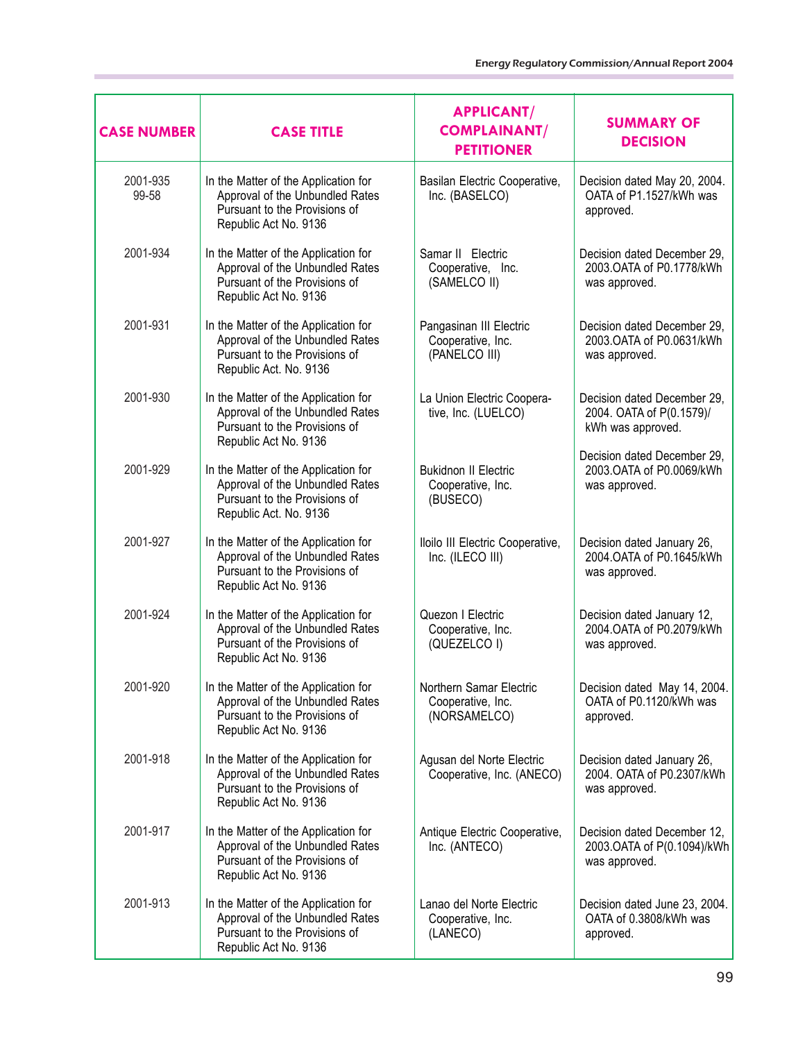| <b>CASE NUMBER</b> | <b>CASE TITLE</b>                                                                                                                  | <b>APPLICANT/</b><br><b>COMPLAINANT/</b><br><b>PETITIONER</b> | <b>SUMMARY OF</b><br><b>DECISION</b>                                         |
|--------------------|------------------------------------------------------------------------------------------------------------------------------------|---------------------------------------------------------------|------------------------------------------------------------------------------|
| 2001-935<br>99-58  | In the Matter of the Application for<br>Approval of the Unbundled Rates<br>Pursuant to the Provisions of<br>Republic Act No. 9136  | Basilan Electric Cooperative,<br>Inc. (BASELCO)               | Decision dated May 20, 2004.<br>OATA of P1.1527/kWh was<br>approved.         |
| 2001-934           | In the Matter of the Application for<br>Approval of the Unbundled Rates<br>Pursuant of the Provisions of<br>Republic Act No. 9136  | Samar II Electric<br>Cooperative, Inc.<br>(SAMELCO II)        | Decision dated December 29,<br>2003. OATA of P0.1778/kWh<br>was approved.    |
| 2001-931           | In the Matter of the Application for<br>Approval of the Unbundled Rates<br>Pursuant to the Provisions of<br>Republic Act. No. 9136 | Pangasinan III Electric<br>Cooperative, Inc.<br>(PANELCO III) | Decision dated December 29,<br>2003.OATA of P0.0631/kWh<br>was approved.     |
| 2001-930           | In the Matter of the Application for<br>Approval of the Unbundled Rates<br>Pursuant to the Provisions of<br>Republic Act No. 9136  | La Union Electric Coopera-<br>tive, Inc. (LUELCO)             | Decision dated December 29,<br>2004. OATA of P(0.1579)/<br>kWh was approved. |
| 2001-929           | In the Matter of the Application for<br>Approval of the Unbundled Rates<br>Pursuant to the Provisions of<br>Republic Act. No. 9136 | <b>Bukidnon II Electric</b><br>Cooperative, Inc.<br>(BUSECO)  | Decision dated December 29,<br>2003.OATA of P0.0069/kWh<br>was approved.     |
| 2001-927           | In the Matter of the Application for<br>Approval of the Unbundled Rates<br>Pursuant to the Provisions of<br>Republic Act No. 9136  | Iloilo III Electric Cooperative,<br>Inc. (ILECO III)          | Decision dated January 26,<br>2004.OATA of P0.1645/kWh<br>was approved.      |
| 2001-924           | In the Matter of the Application for<br>Approval of the Unbundled Rates<br>Pursuant of the Provisions of<br>Republic Act No. 9136  | Quezon I Electric<br>Cooperative, Inc.<br>(QUEZELCO I)        | Decision dated January 12,<br>2004. OATA of P0.2079/kWh<br>was approved.     |
| 2001-920           | In the Matter of the Application for<br>Approval of the Unbundled Rates<br>Pursuant to the Provisions of<br>Republic Act No. 9136  | Northern Samar Electric<br>Cooperative, Inc.<br>(NORSAMELCO)  | Decision dated May 14, 2004.<br>OATA of P0.1120/kWh was<br>approved.         |
| 2001-918           | In the Matter of the Application for<br>Approval of the Unbundled Rates<br>Pursuant to the Provisions of<br>Republic Act No. 9136  | Agusan del Norte Electric<br>Cooperative, Inc. (ANECO)        | Decision dated January 26,<br>2004. OATA of P0.2307/kWh<br>was approved.     |
| 2001-917           | In the Matter of the Application for<br>Approval of the Unbundled Rates<br>Pursuant of the Provisions of<br>Republic Act No. 9136  | Antique Electric Cooperative,<br>Inc. (ANTECO)                | Decision dated December 12,<br>2003.OATA of P(0.1094)/kWh<br>was approved.   |
| 2001-913           | In the Matter of the Application for<br>Approval of the Unbundled Rates<br>Pursuant to the Provisions of<br>Republic Act No. 9136  | Lanao del Norte Electric<br>Cooperative, Inc.<br>(LANECO)     | Decision dated June 23, 2004.<br>OATA of 0.3808/kWh was<br>approved.         |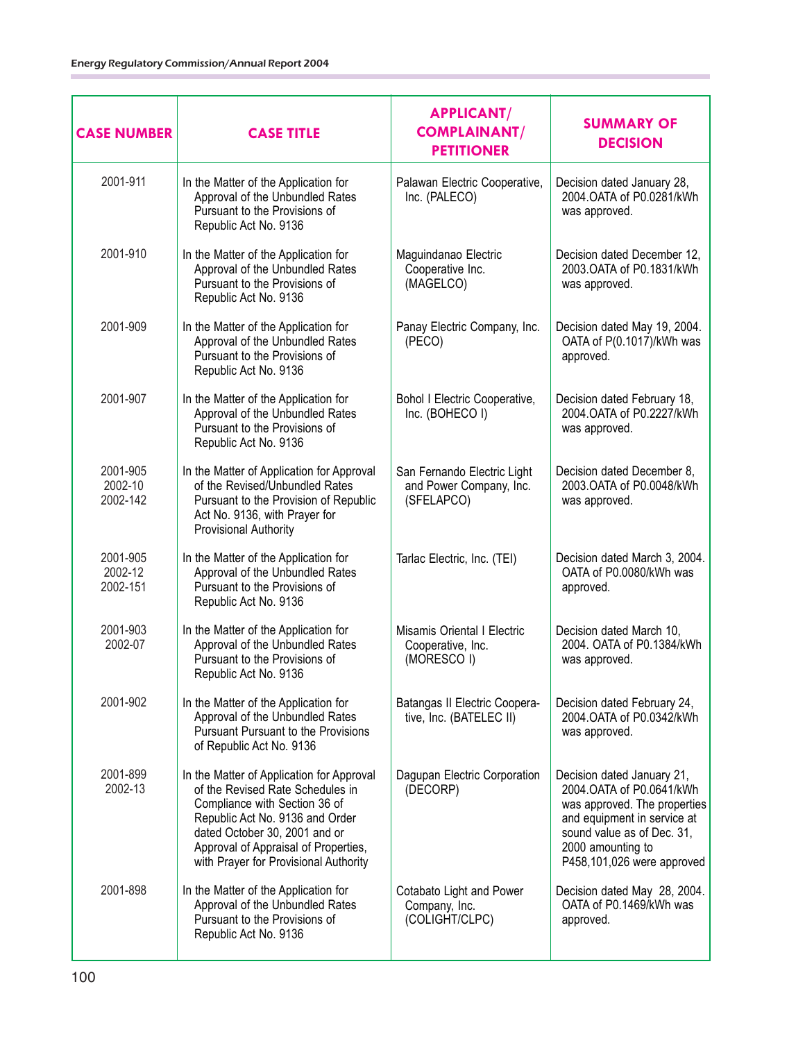| <b>CASE NUMBER</b>              | <b>CASE TITLE</b>                                                                                                                                                                                                                                                   | <b>APPLICANT/</b><br><b>COMPLAINANT/</b><br><b>PETITIONER</b>          | <b>SUMMARY OF</b><br><b>DECISION</b>                                                                                                                                                                    |
|---------------------------------|---------------------------------------------------------------------------------------------------------------------------------------------------------------------------------------------------------------------------------------------------------------------|------------------------------------------------------------------------|---------------------------------------------------------------------------------------------------------------------------------------------------------------------------------------------------------|
| 2001-911                        | In the Matter of the Application for<br>Approval of the Unbundled Rates<br>Pursuant to the Provisions of<br>Republic Act No. 9136                                                                                                                                   | Palawan Electric Cooperative,<br>Inc. (PALECO)                         | Decision dated January 28,<br>2004. OATA of P0.0281/kWh<br>was approved.                                                                                                                                |
| 2001-910                        | In the Matter of the Application for<br>Approval of the Unbundled Rates<br>Pursuant to the Provisions of<br>Republic Act No. 9136                                                                                                                                   | Maguindanao Electric<br>Cooperative Inc.<br>(MAGELCO)                  | Decision dated December 12,<br>2003. OATA of P0.1831/kWh<br>was approved.                                                                                                                               |
| 2001-909                        | In the Matter of the Application for<br>Approval of the Unbundled Rates<br>Pursuant to the Provisions of<br>Republic Act No. 9136                                                                                                                                   | Panay Electric Company, Inc.<br>(PECO)                                 | Decision dated May 19, 2004.<br>OATA of P(0.1017)/kWh was<br>approved.                                                                                                                                  |
| 2001-907                        | In the Matter of the Application for<br>Approval of the Unbundled Rates<br>Pursuant to the Provisions of<br>Republic Act No. 9136                                                                                                                                   | Bohol I Electric Cooperative,<br>Inc. (BOHECO I)                       | Decision dated February 18,<br>2004.OATA of P0.2227/kWh<br>was approved.                                                                                                                                |
| 2001-905<br>2002-10<br>2002-142 | In the Matter of Application for Approval<br>of the Revised/Unbundled Rates<br>Pursuant to the Provision of Republic<br>Act No. 9136, with Prayer for<br><b>Provisional Authority</b>                                                                               | San Fernando Electric Light<br>and Power Company, Inc.<br>(SFELAPCO)   | Decision dated December 8,<br>2003.OATA of P0.0048/kWh<br>was approved.                                                                                                                                 |
| 2001-905<br>2002-12<br>2002-151 | In the Matter of the Application for<br>Approval of the Unbundled Rates<br>Pursuant to the Provisions of<br>Republic Act No. 9136                                                                                                                                   | Tarlac Electric, Inc. (TEI)                                            | Decision dated March 3, 2004.<br>OATA of P0.0080/kWh was<br>approved.                                                                                                                                   |
| 2001-903<br>2002-07             | In the Matter of the Application for<br>Approval of the Unbundled Rates<br>Pursuant to the Provisions of<br>Republic Act No. 9136                                                                                                                                   | <b>Misamis Oriental   Electric</b><br>Cooperative, Inc.<br>(MORESCO I) | Decision dated March 10,<br>2004. OATA of P0.1384/kWh<br>was approved.                                                                                                                                  |
| 2001-902                        | In the Matter of the Application for<br>Approval of the Unbundled Rates<br><b>Pursuant Pursuant to the Provisions</b><br>of Republic Act No. 9136                                                                                                                   | Batangas II Electric Coopera-<br>tive, Inc. (BATELEC II)               | Decision dated February 24,<br>2004.OATA of P0.0342/kWh<br>was approved.                                                                                                                                |
| 2001-899<br>2002-13             | In the Matter of Application for Approval<br>of the Revised Rate Schedules in<br>Compliance with Section 36 of<br>Republic Act No. 9136 and Order<br>dated October 30, 2001 and or<br>Approval of Appraisal of Properties,<br>with Prayer for Provisional Authority | Dagupan Electric Corporation<br>(DECORP)                               | Decision dated January 21,<br>2004. OATA of P0.0641/kWh<br>was approved. The properties<br>and equipment in service at<br>sound value as of Dec. 31,<br>2000 amounting to<br>P458,101,026 were approved |
| 2001-898                        | In the Matter of the Application for<br>Approval of the Unbundled Rates<br>Pursuant to the Provisions of<br>Republic Act No. 9136                                                                                                                                   | Cotabato Light and Power<br>Company, Inc.<br>(COLIGHT/CLPC)            | Decision dated May 28, 2004.<br>OATA of P0.1469/kWh was<br>approved.                                                                                                                                    |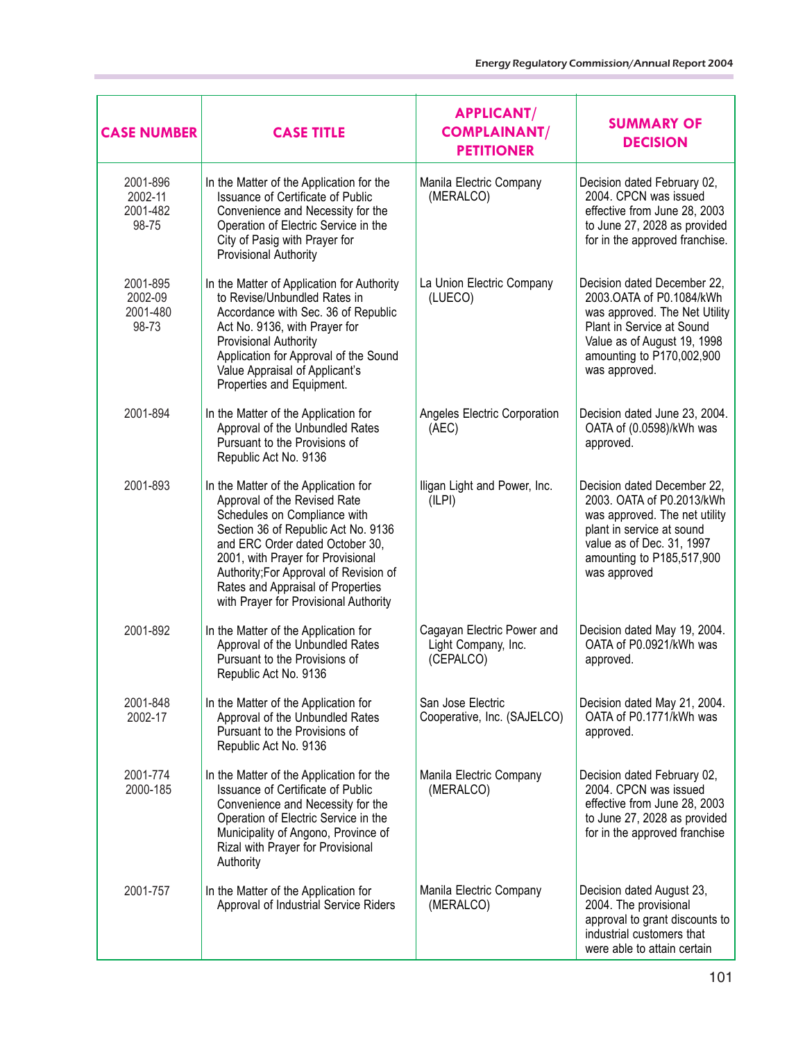| <b>CASE NUMBER</b>                       | <b>CASE TITLE</b>                                                                                                                                                                                                                                                                                                                           | <b>APPLICANT/</b><br><b>COMPLAINANT/</b><br><b>PETITIONER</b>  | <b>SUMMARY OF</b><br><b>DECISION</b>                                                                                                                                                               |
|------------------------------------------|---------------------------------------------------------------------------------------------------------------------------------------------------------------------------------------------------------------------------------------------------------------------------------------------------------------------------------------------|----------------------------------------------------------------|----------------------------------------------------------------------------------------------------------------------------------------------------------------------------------------------------|
| 2001-896<br>2002-11<br>2001-482<br>98-75 | In the Matter of the Application for the<br>Issuance of Certificate of Public<br>Convenience and Necessity for the<br>Operation of Electric Service in the<br>City of Pasig with Prayer for<br>Provisional Authority                                                                                                                        | Manila Electric Company<br>(MERALCO)                           | Decision dated February 02,<br>2004. CPCN was issued<br>effective from June 28, 2003<br>to June 27, 2028 as provided<br>for in the approved franchise.                                             |
| 2001-895<br>2002-09<br>2001-480<br>98-73 | In the Matter of Application for Authority<br>to Revise/Unbundled Rates in<br>Accordance with Sec. 36 of Republic<br>Act No. 9136, with Prayer for<br>Provisional Authority<br>Application for Approval of the Sound<br>Value Appraisal of Applicant's<br>Properties and Equipment.                                                         | La Union Electric Company<br>(LUECO)                           | Decision dated December 22,<br>2003.OATA of P0.1084/kWh<br>was approved. The Net Utility<br>Plant in Service at Sound<br>Value as of August 19, 1998<br>amounting to P170,002,900<br>was approved. |
| 2001-894                                 | In the Matter of the Application for<br>Approval of the Unbundled Rates<br>Pursuant to the Provisions of<br>Republic Act No. 9136                                                                                                                                                                                                           | Angeles Electric Corporation<br>(AEC)                          | Decision dated June 23, 2004.<br>OATA of (0.0598)/kWh was<br>approved.                                                                                                                             |
| 2001-893                                 | In the Matter of the Application for<br>Approval of the Revised Rate<br>Schedules on Compliance with<br>Section 36 of Republic Act No. 9136<br>and ERC Order dated October 30,<br>2001, with Prayer for Provisional<br>Authority; For Approval of Revision of<br>Rates and Appraisal of Properties<br>with Prayer for Provisional Authority | Iligan Light and Power, Inc.<br>(ILPI)                         | Decision dated December 22,<br>2003. OATA of P0.2013/kWh<br>was approved. The net utility<br>plant in service at sound<br>value as of Dec. 31, 1997<br>amounting to P185,517,900<br>was approved   |
| 2001-892                                 | In the Matter of the Application for<br>Approval of the Unbundled Rates<br>Pursuant to the Provisions of<br>Republic Act No. 9136                                                                                                                                                                                                           | Cagayan Electric Power and<br>Light Company, Inc.<br>(CEPALCO) | Decision dated May 19, 2004.<br>OATA of P0.0921/kWh was<br>approved.                                                                                                                               |
| 2001-848<br>2002-17                      | In the Matter of the Application for<br>Approval of the Unbundled Rates<br>Pursuant to the Provisions of<br>Republic Act No. 9136                                                                                                                                                                                                           | San Jose Electric<br>Cooperative, Inc. (SAJELCO)               | Decision dated May 21, 2004.<br>OATA of P0.1771/kWh was<br>approved.                                                                                                                               |
| 2001-774<br>2000-185                     | In the Matter of the Application for the<br>Issuance of Certificate of Public<br>Convenience and Necessity for the<br>Operation of Electric Service in the<br>Municipality of Angono, Province of<br>Rizal with Prayer for Provisional<br>Authority                                                                                         | Manila Electric Company<br>(MERALCO)                           | Decision dated February 02,<br>2004. CPCN was issued<br>effective from June 28, 2003<br>to June 27, 2028 as provided<br>for in the approved franchise                                              |
| 2001-757                                 | In the Matter of the Application for<br>Approval of Industrial Service Riders                                                                                                                                                                                                                                                               | Manila Electric Company<br>(MERALCO)                           | Decision dated August 23,<br>2004. The provisional<br>approval to grant discounts to<br>industrial customers that<br>were able to attain certain                                                   |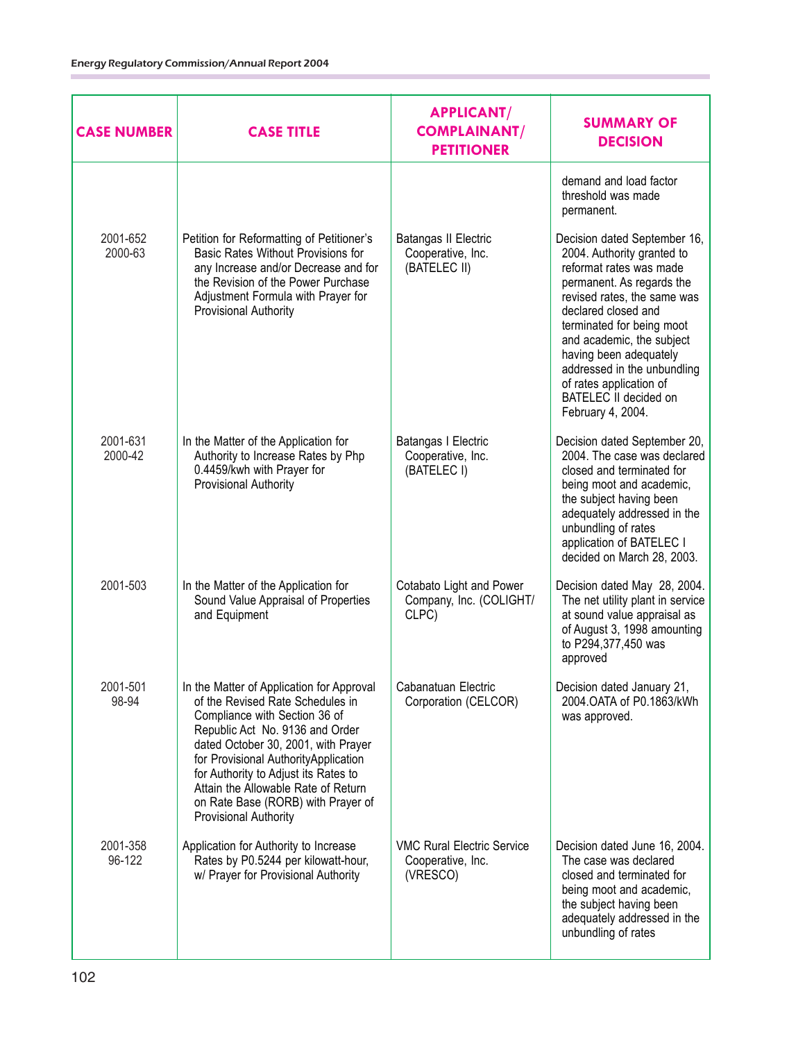| <b>CASE NUMBER</b>  | <b>CASE TITLE</b>                                                                                                                                                                                                                                                                                                                                                               | <b>APPLICANT/</b><br><b>COMPLAINANT/</b><br><b>PETITIONER</b>      | <b>SUMMARY OF</b><br><b>DECISION</b>                                                                                                                                                                                                                                                                                                                                 |
|---------------------|---------------------------------------------------------------------------------------------------------------------------------------------------------------------------------------------------------------------------------------------------------------------------------------------------------------------------------------------------------------------------------|--------------------------------------------------------------------|----------------------------------------------------------------------------------------------------------------------------------------------------------------------------------------------------------------------------------------------------------------------------------------------------------------------------------------------------------------------|
|                     |                                                                                                                                                                                                                                                                                                                                                                                 |                                                                    | demand and load factor<br>threshold was made<br>permanent.                                                                                                                                                                                                                                                                                                           |
| 2001-652<br>2000-63 | Petition for Reformatting of Petitioner's<br>Basic Rates Without Provisions for<br>any Increase and/or Decrease and for<br>the Revision of the Power Purchase<br>Adjustment Formula with Prayer for<br>Provisional Authority                                                                                                                                                    | Batangas II Electric<br>Cooperative, Inc.<br>(BATELEC II)          | Decision dated September 16,<br>2004. Authority granted to<br>reformat rates was made<br>permanent. As regards the<br>revised rates, the same was<br>declared closed and<br>terminated for being moot<br>and academic, the subject<br>having been adequately<br>addressed in the unbundling<br>of rates application of<br>BATELEC II decided on<br>February 4, 2004. |
| 2001-631<br>2000-42 | In the Matter of the Application for<br>Authority to Increase Rates by Php<br>0.4459/kwh with Prayer for<br>Provisional Authority                                                                                                                                                                                                                                               | Batangas I Electric<br>Cooperative, Inc.<br>(BATELEC I)            | Decision dated September 20,<br>2004. The case was declared<br>closed and terminated for<br>being moot and academic,<br>the subject having been<br>adequately addressed in the<br>unbundling of rates<br>application of BATELEC I<br>decided on March 28, 2003.                                                                                                      |
| 2001-503            | In the Matter of the Application for<br>Sound Value Appraisal of Properties<br>and Equipment                                                                                                                                                                                                                                                                                    | Cotabato Light and Power<br>Company, Inc. (COLIGHT/<br>CLPC)       | Decision dated May 28, 2004.<br>The net utility plant in service<br>at sound value appraisal as<br>of August 3, 1998 amounting<br>to P294,377,450 was<br>approved                                                                                                                                                                                                    |
| 2001-501<br>98-94   | In the Matter of Application for Approval<br>of the Revised Rate Schedules in<br>Compliance with Section 36 of<br>Republic Act No. 9136 and Order<br>dated October 30, 2001, with Prayer<br>for Provisional Authority Application<br>for Authority to Adjust its Rates to<br>Attain the Allowable Rate of Return<br>on Rate Base (RORB) with Prayer of<br>Provisional Authority | Cabanatuan Electric<br>Corporation (CELCOR)                        | Decision dated January 21,<br>2004. OATA of P0.1863/kWh<br>was approved.                                                                                                                                                                                                                                                                                             |
| 2001-358<br>96-122  | Application for Authority to Increase<br>Rates by P0.5244 per kilowatt-hour,<br>w/ Prayer for Provisional Authority                                                                                                                                                                                                                                                             | <b>VMC Rural Electric Service</b><br>Cooperative, Inc.<br>(VRESCO) | Decision dated June 16, 2004.<br>The case was declared<br>closed and terminated for<br>being moot and academic,<br>the subject having been<br>adequately addressed in the<br>unbundling of rates                                                                                                                                                                     |